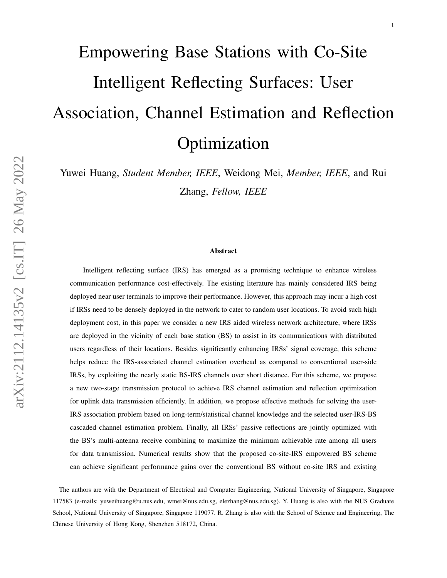# Empowering Base Stations with Co-Site Intelligent Reflecting Surfaces: User Association, Channel Estimation and Reflection Optimization

Yuwei Huang, *Student Member, IEEE*, Weidong Mei, *Member, IEEE*, and Rui Zhang, *Fellow, IEEE*

#### Abstract

Intelligent reflecting surface (IRS) has emerged as a promising technique to enhance wireless communication performance cost-effectively. The existing literature has mainly considered IRS being deployed near user terminals to improve their performance. However, this approach may incur a high cost if IRSs need to be densely deployed in the network to cater to random user locations. To avoid such high deployment cost, in this paper we consider a new IRS aided wireless network architecture, where IRSs are deployed in the vicinity of each base station (BS) to assist in its communications with distributed users regardless of their locations. Besides significantly enhancing IRSs' signal coverage, this scheme helps reduce the IRS-associated channel estimation overhead as compared to conventional user-side IRSs, by exploiting the nearly static BS-IRS channels over short distance. For this scheme, we propose a new two-stage transmission protocol to achieve IRS channel estimation and reflection optimization for uplink data transmission efficiently. In addition, we propose effective methods for solving the user-IRS association problem based on long-term/statistical channel knowledge and the selected user-IRS-BS cascaded channel estimation problem. Finally, all IRSs' passive reflections are jointly optimized with the BS's multi-antenna receive combining to maximize the minimum achievable rate among all users for data transmission. Numerical results show that the proposed co-site-IRS empowered BS scheme can achieve significant performance gains over the conventional BS without co-site IRS and existing

The authors are with the Department of Electrical and Computer Engineering, National University of Singapore, Singapore 117583 (e-mails: yuweihuang@u.nus.edu, wmei@nus.edu.sg, elezhang@nus.edu.sg). Y. Huang is also with the NUS Graduate School, National University of Singapore, Singapore 119077. R. Zhang is also with the School of Science and Engineering, The Chinese University of Hong Kong, Shenzhen 518172, China.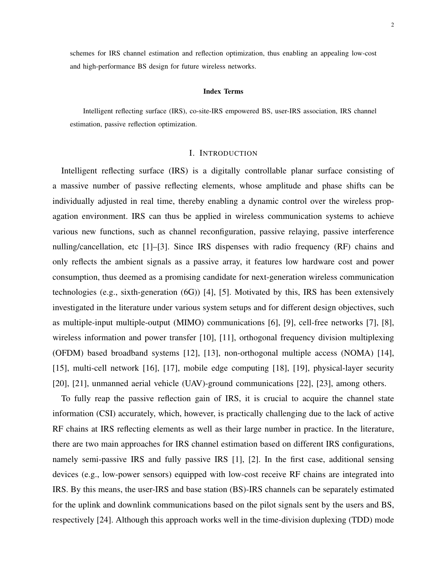schemes for IRS channel estimation and reflection optimization, thus enabling an appealing low-cost and high-performance BS design for future wireless networks.

#### Index Terms

Intelligent reflecting surface (IRS), co-site-IRS empowered BS, user-IRS association, IRS channel estimation, passive reflection optimization.

# I. INTRODUCTION

Intelligent reflecting surface (IRS) is a digitally controllable planar surface consisting of a massive number of passive reflecting elements, whose amplitude and phase shifts can be individually adjusted in real time, thereby enabling a dynamic control over the wireless propagation environment. IRS can thus be applied in wireless communication systems to achieve various new functions, such as channel reconfiguration, passive relaying, passive interference nulling/cancellation, etc [\[1\]](#page-31-0)–[\[3\]](#page-31-1). Since IRS dispenses with radio frequency (RF) chains and only reflects the ambient signals as a passive array, it features low hardware cost and power consumption, thus deemed as a promising candidate for next-generation wireless communication technologies (e.g., sixth-generation (6G)) [\[4\]](#page-31-2), [\[5\]](#page-31-3). Motivated by this, IRS has been extensively investigated in the literature under various system setups and for different design objectives, such as multiple-input multiple-output (MIMO) communications [\[6\]](#page-31-4), [\[9\]](#page-32-0), cell-free networks [\[7\]](#page-32-1), [\[8\]](#page-32-2), wireless information and power transfer [\[10\]](#page-32-3), [\[11\]](#page-32-4), orthogonal frequency division multiplexing (OFDM) based broadband systems [\[12\]](#page-32-5), [\[13\]](#page-32-6), non-orthogonal multiple access (NOMA) [\[14\]](#page-32-7), [\[15\]](#page-32-8), multi-cell network [\[16\]](#page-32-9), [\[17\]](#page-32-10), mobile edge computing [\[18\]](#page-32-11), [\[19\]](#page-32-12), physical-layer security [\[20\]](#page-32-13), [\[21\]](#page-32-14), unmanned aerial vehicle (UAV)-ground communications [\[22\]](#page-32-15), [\[23\]](#page-32-16), among others.

To fully reap the passive reflection gain of IRS, it is crucial to acquire the channel state information (CSI) accurately, which, however, is practically challenging due to the lack of active RF chains at IRS reflecting elements as well as their large number in practice. In the literature, there are two main approaches for IRS channel estimation based on different IRS configurations, namely semi-passive IRS and fully passive IRS [\[1\]](#page-31-0), [\[2\]](#page-31-5). In the first case, additional sensing devices (e.g., low-power sensors) equipped with low-cost receive RF chains are integrated into IRS. By this means, the user-IRS and base station (BS)-IRS channels can be separately estimated for the uplink and downlink communications based on the pilot signals sent by the users and BS, respectively [\[24\]](#page-32-17). Although this approach works well in the time-division duplexing (TDD) mode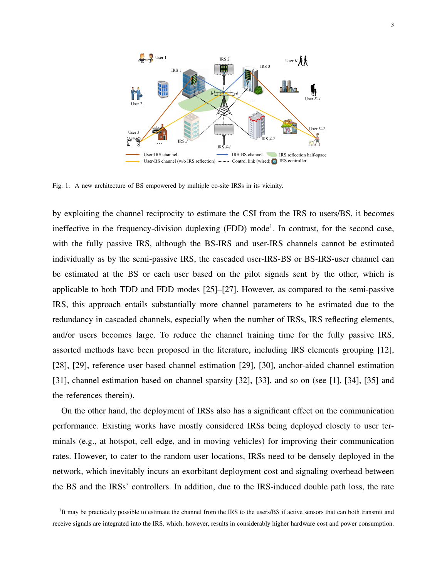

<span id="page-2-1"></span>Fig. 1. A new architecture of BS empowered by multiple co-site IRSs in its vicinity.

by exploiting the channel reciprocity to estimate the CSI from the IRS to users/BS, it becomes ineffective in the frequency-division duplexing (FDD) mode<sup>[1](#page-2-0)</sup>. In contrast, for the second case, with the fully passive IRS, although the BS-IRS and user-IRS channels cannot be estimated individually as by the semi-passive IRS, the cascaded user-IRS-BS or BS-IRS-user channel can be estimated at the BS or each user based on the pilot signals sent by the other, which is applicable to both TDD and FDD modes [\[25\]](#page-32-18)–[\[27\]](#page-33-0). However, as compared to the semi-passive IRS, this approach entails substantially more channel parameters to be estimated due to the redundancy in cascaded channels, especially when the number of IRSs, IRS reflecting elements, and/or users becomes large. To reduce the channel training time for the fully passive IRS, assorted methods have been proposed in the literature, including IRS elements grouping [\[12\]](#page-32-5), [\[28\]](#page-33-1), [\[29\]](#page-33-2), reference user based channel estimation [\[29\]](#page-33-2), [\[30\]](#page-33-3), anchor-aided channel estimation [\[31\]](#page-33-4), channel estimation based on channel sparsity [\[32\]](#page-33-5), [\[33\]](#page-33-6), and so on (see [\[1\]](#page-31-0), [\[34\]](#page-33-7), [\[35\]](#page-33-8) and the references therein).

On the other hand, the deployment of IRSs also has a significant effect on the communication performance. Existing works have mostly considered IRSs being deployed closely to user terminals (e.g., at hotspot, cell edge, and in moving vehicles) for improving their communication rates. However, to cater to the random user locations, IRSs need to be densely deployed in the network, which inevitably incurs an exorbitant deployment cost and signaling overhead between the BS and the IRSs' controllers. In addition, due to the IRS-induced double path loss, the rate

<span id="page-2-0"></span><sup>&</sup>lt;sup>1</sup>It may be practically possible to estimate the channel from the IRS to the users/BS if active sensors that can both transmit and receive signals are integrated into the IRS, which, however, results in considerably higher hardware cost and power consumption.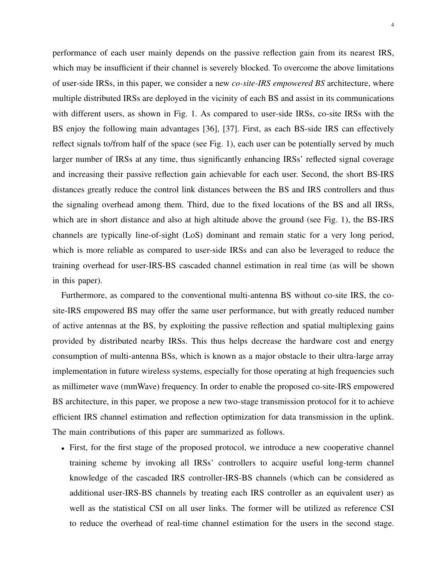performance of each user mainly depends on the passive reflection gain from its nearest IRS, which may be insufficient if their channel is severely blocked. To overcome the above limitations of user-side IRSs, in this paper, we consider a new *co-site-IRS empowered BS* architecture, where multiple distributed IRSs are deployed in the vicinity of each BS and assist in its communications with different users, as shown in Fig. [1.](#page-2-1) As compared to user-side IRSs, co-site IRSs with the BS enjoy the following main advantages [\[36\]](#page-33-9), [\[37\]](#page-33-10). First, as each BS-side IRS can effectively reflect signals to/from half of the space (see Fig. [1\)](#page-2-1), each user can be potentially served by much larger number of IRSs at any time, thus significantly enhancing IRSs' reflected signal coverage and increasing their passive reflection gain achievable for each user. Second, the short BS-IRS distances greatly reduce the control link distances between the BS and IRS controllers and thus the signaling overhead among them. Third, due to the fixed locations of the BS and all IRSs, which are in short distance and also at high altitude above the ground (see Fig. [1\)](#page-2-1), the BS-IRS channels are typically line-of-sight (LoS) dominant and remain static for a very long period, which is more reliable as compared to user-side IRSs and can also be leveraged to reduce the training overhead for user-IRS-BS cascaded channel estimation in real time (as will be shown in this paper).

Furthermore, as compared to the conventional multi-antenna BS without co-site IRS, the cosite-IRS empowered BS may offer the same user performance, but with greatly reduced number of active antennas at the BS, by exploiting the passive reflection and spatial multiplexing gains provided by distributed nearby IRSs. This thus helps decrease the hardware cost and energy consumption of multi-antenna BSs, which is known as a major obstacle to their ultra-large array implementation in future wireless systems, especially for those operating at high frequencies such as millimeter wave (mmWave) frequency. In order to enable the proposed co-site-IRS empowered BS architecture, in this paper, we propose a new two-stage transmission protocol for it to achieve efficient IRS channel estimation and reflection optimization for data transmission in the uplink. The main contributions of this paper are summarized as follows.

• First, for the first stage of the proposed protocol, we introduce a new cooperative channel training scheme by invoking all IRSs' controllers to acquire useful long-term channel knowledge of the cascaded IRS controller-IRS-BS channels (which can be considered as additional user-IRS-BS channels by treating each IRS controller as an equivalent user) as well as the statistical CSI on all user links. The former will be utilized as reference CSI to reduce the overhead of real-time channel estimation for the users in the second stage.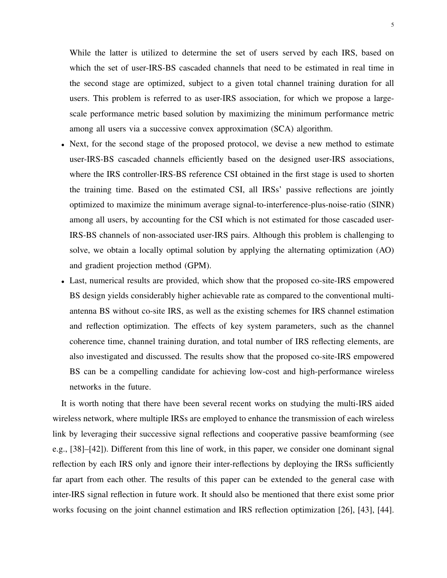While the latter is utilized to determine the set of users served by each IRS, based on which the set of user-IRS-BS cascaded channels that need to be estimated in real time in the second stage are optimized, subject to a given total channel training duration for all users. This problem is referred to as user-IRS association, for which we propose a largescale performance metric based solution by maximizing the minimum performance metric among all users via a successive convex approximation (SCA) algorithm.

- Next, for the second stage of the proposed protocol, we devise a new method to estimate user-IRS-BS cascaded channels efficiently based on the designed user-IRS associations, where the IRS controller-IRS-BS reference CSI obtained in the first stage is used to shorten the training time. Based on the estimated CSI, all IRSs' passive reflections are jointly optimized to maximize the minimum average signal-to-interference-plus-noise-ratio (SINR) among all users, by accounting for the CSI which is not estimated for those cascaded user-IRS-BS channels of non-associated user-IRS pairs. Although this problem is challenging to solve, we obtain a locally optimal solution by applying the alternating optimization (AO) and gradient projection method (GPM).
- Last, numerical results are provided, which show that the proposed co-site-IRS empowered BS design yields considerably higher achievable rate as compared to the conventional multiantenna BS without co-site IRS, as well as the existing schemes for IRS channel estimation and reflection optimization. The effects of key system parameters, such as the channel coherence time, channel training duration, and total number of IRS reflecting elements, are also investigated and discussed. The results show that the proposed co-site-IRS empowered BS can be a compelling candidate for achieving low-cost and high-performance wireless networks in the future.

It is worth noting that there have been several recent works on studying the multi-IRS aided wireless network, where multiple IRSs are employed to enhance the transmission of each wireless link by leveraging their successive signal reflections and cooperative passive beamforming (see e.g., [\[38\]](#page-33-11)–[\[42\]](#page-33-12)). Different from this line of work, in this paper, we consider one dominant signal reflection by each IRS only and ignore their inter-reflections by deploying the IRSs sufficiently far apart from each other. The results of this paper can be extended to the general case with inter-IRS signal reflection in future work. It should also be mentioned that there exist some prior works focusing on the joint channel estimation and IRS reflection optimization [\[26\]](#page-33-13), [\[43\]](#page-33-14), [\[44\]](#page-33-15).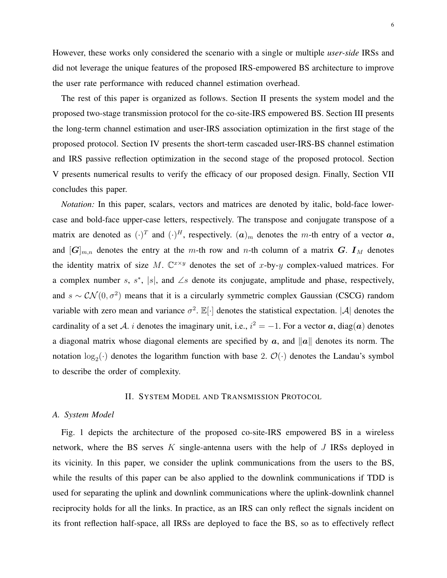However, these works only considered the scenario with a single or multiple *user-side* IRSs and did not leverage the unique features of the proposed IRS-empowered BS architecture to improve the user rate performance with reduced channel estimation overhead.

The rest of this paper is organized as follows. Section II presents the system model and the proposed two-stage transmission protocol for the co-site-IRS empowered BS. Section III presents the long-term channel estimation and user-IRS association optimization in the first stage of the proposed protocol. Section IV presents the short-term cascaded user-IRS-BS channel estimation and IRS passive reflection optimization in the second stage of the proposed protocol. Section V presents numerical results to verify the efficacy of our proposed design. Finally, Section VII concludes this paper.

*Notation:* In this paper, scalars, vectors and matrices are denoted by italic, bold-face lowercase and bold-face upper-case letters, respectively. The transpose and conjugate transpose of a matrix are denoted as  $(\cdot)^T$  and  $(\cdot)^H$ , respectively.  $(a)_m$  denotes the m-th entry of a vector  $a$ , and  $[G]_{m,n}$  denotes the entry at the m-th row and n-th column of a matrix G.  $I_M$  denotes the identity matrix of size M.  $\mathbb{C}^{x \times y}$  denotes the set of x-by-y complex-valued matrices. For a complex number s,  $s^*$ , |s|, and ∠s denote its conjugate, amplitude and phase, respectively, and  $s \sim \mathcal{CN}(0, \sigma^2)$  means that it is a circularly symmetric complex Gaussian (CSCG) random variable with zero mean and variance  $\sigma^2$ .  $\mathbb{E}[\cdot]$  denotes the statistical expectation. |A| denotes the cardinality of a set A. i denotes the imaginary unit, i.e.,  $i^2 = -1$ . For a vector a, diag(a) denotes a diagonal matrix whose diagonal elements are specified by  $\alpha$ , and  $\|\alpha\|$  denotes its norm. The notation  $\log_2(\cdot)$  denotes the logarithm function with base 2.  $\mathcal{O}(\cdot)$  denotes the Landau's symbol to describe the order of complexity.

#### II. SYSTEM MODEL AND TRANSMISSION PROTOCOL

#### *A. System Model*

Fig. [1](#page-2-1) depicts the architecture of the proposed co-site-IRS empowered BS in a wireless network, where the BS serves  $K$  single-antenna users with the help of  $J$  IRSs deployed in its vicinity. In this paper, we consider the uplink communications from the users to the BS, while the results of this paper can be also applied to the downlink communications if TDD is used for separating the uplink and downlink communications where the uplink-downlink channel reciprocity holds for all the links. In practice, as an IRS can only reflect the signals incident on its front reflection half-space, all IRSs are deployed to face the BS, so as to effectively reflect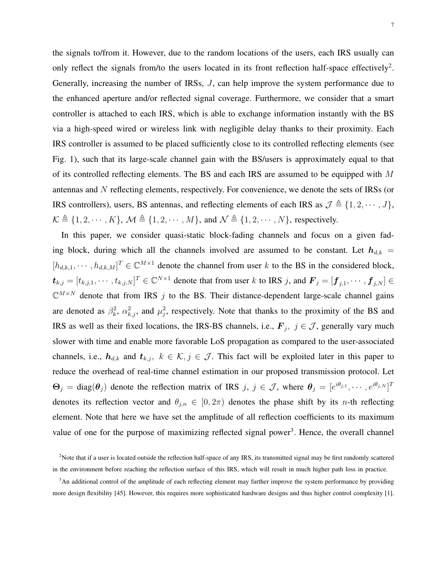the signals to/from it. However, due to the random locations of the users, each IRS usually can only reflect the signals from/to the users located in its front reflection half-space effectively<sup>[2](#page-6-0)</sup>. Generally, increasing the number of IRSs, J, can help improve the system performance due to the enhanced aperture and/or reflected signal coverage. Furthermore, we consider that a smart controller is attached to each IRS, which is able to exchange information instantly with the BS via a high-speed wired or wireless link with negligible delay thanks to their proximity. Each IRS controller is assumed to be placed sufficiently close to its controlled reflecting elements (see Fig. [1\)](#page-2-1), such that its large-scale channel gain with the BS/users is approximately equal to that of its controlled reflecting elements. The BS and each IRS are assumed to be equipped with  $M$ antennas and N reflecting elements, respectively. For convenience, we denote the sets of IRSs (or IRS controllers), users, BS antennas, and reflecting elements of each IRS as  $\mathcal{J} \triangleq \{1, 2, \cdots, J\}$ ,  $\mathcal{K} \triangleq \{1, 2, \cdots, K\}, \mathcal{M} \triangleq \{1, 2, \cdots, M\}, \text{ and } \mathcal{N} \triangleq \{1, 2, \cdots, N\}, \text{ respectively.}$ 

In this paper, we consider quasi-static block-fading channels and focus on a given fading block, during which all the channels involved are assumed to be constant. Let  $h_{d,k}$  =  $[h_{d,k,1},\dots,h_{d,k,M}]^T \in \mathbb{C}^{M\times 1}$  denote the channel from user k to the BS in the considered block,  $t_{k,j} = [t_{k,j,1}, \cdots, t_{k,j,N}]^T \in \mathbb{C}^{N \times 1}$  denote that from user k to IRS j, and  $\boldsymbol{F}_j = [\boldsymbol{f}_{j,1}, \cdots, \boldsymbol{f}_{j,N}] \in$  $\mathbb{C}^{M\times N}$  denote that from IRS j to the BS. Their distance-dependent large-scale channel gains are denoted as  $\beta_k^2$ ,  $\alpha_{k,j}^2$ , and  $\mu_j^2$ , respectively. Note that thanks to the proximity of the BS and IRS as well as their fixed locations, the IRS-BS channels, i.e.,  $\mathbf{F}_j$ ,  $j \in \mathcal{J}$ , generally vary much slower with time and enable more favorable LoS propagation as compared to the user-associated channels, i.e.,  $h_{d,k}$  and  $t_{k,j}$ ,  $k \in \mathcal{K}, j \in \mathcal{J}$ . This fact will be exploited later in this paper to reduce the overhead of real-time channel estimation in our proposed transmission protocol. Let  $\Theta_j = \text{diag}(\theta_j)$  denote the reflection matrix of IRS  $j, j \in \mathcal{J}$ , where  $\theta_j = [e^{i\theta_{j,1}}, \dots, e^{i\theta_{j,N}}]^T$ denotes its reflection vector and  $\theta_{j,n} \in [0, 2\pi)$  denotes the phase shift by its *n*-th reflecting element. Note that here we have set the amplitude of all reflection coefficients to its maximum value of one for the purpose of maximizing reflected signal power<sup>[3](#page-6-1)</sup>. Hence, the overall channel

<span id="page-6-0"></span><sup>&</sup>lt;sup>2</sup>Note that if a user is located outside the reflection half-space of any IRS, its transmitted signal may be first randomly scattered in the environment before reaching the reflection surface of this IRS, which will result in much higher path loss in practice.

<span id="page-6-1"></span><sup>&</sup>lt;sup>3</sup>An additional control of the amplitude of each reflecting element may further improve the system performance by providing more design flexibility [\[45\]](#page-34-0). However, this requires more sophisticated hardware designs and thus higher control complexity [\[1\]](#page-31-0).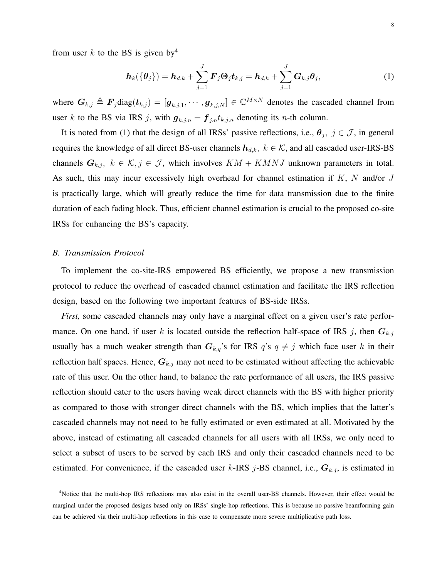from user k to the BS is given by<sup>[4](#page-7-0)</sup>

<span id="page-7-1"></span>
$$
\boldsymbol{h}_{k}(\{\boldsymbol{\theta}_{j}\}) = \boldsymbol{h}_{d,k} + \sum_{j=1}^{J} \boldsymbol{F}_{j} \boldsymbol{\Theta}_{j} \boldsymbol{t}_{k,j} = \boldsymbol{h}_{d,k} + \sum_{j=1}^{J} \boldsymbol{G}_{k,j} \boldsymbol{\theta}_{j},
$$
\n(1)

where  $G_{k,j} \triangleq F_j \text{diag}(\bm{t}_{k,j}) = [\bm{g}_{k,j,1}, \cdots, \bm{g}_{k,j,N}] \in \mathbb{C}^{M \times N}$  denotes the cascaded channel from user k to the BS via IRS j, with  $g_{k,j,n} = f_{j,n} t_{k,j,n}$  denoting its n-th column.

It is noted from [\(1\)](#page-7-1) that the design of all IRSs' passive reflections, i.e.,  $\theta_j$ ,  $j \in \mathcal{J}$ , in general requires the knowledge of all direct BS-user channels  $h_{d,k}$ ,  $k \in K$ , and all cascaded user-IRS-BS channels  $G_{k,j}$ ,  $k \in \mathcal{K}, j \in \mathcal{J}$ , which involves  $KM + KMNJ$  unknown parameters in total. As such, this may incur excessively high overhead for channel estimation if  $K$ ,  $N$  and/or  $J$ is practically large, which will greatly reduce the time for data transmission due to the finite duration of each fading block. Thus, efficient channel estimation is crucial to the proposed co-site IRSs for enhancing the BS's capacity.

# *B. Transmission Protocol*

To implement the co-site-IRS empowered BS efficiently, we propose a new transmission protocol to reduce the overhead of cascaded channel estimation and facilitate the IRS reflection design, based on the following two important features of BS-side IRSs.

*First,* some cascaded channels may only have a marginal effect on a given user's rate performance. On one hand, if user k is located outside the reflection half-space of IRS j, then  $G_{k,j}$ usually has a much weaker strength than  $G_{k,q}$ 's for IRS  $q$ 's  $q \neq j$  which face user k in their reflection half spaces. Hence,  $G_{k,j}$  may not need to be estimated without affecting the achievable rate of this user. On the other hand, to balance the rate performance of all users, the IRS passive reflection should cater to the users having weak direct channels with the BS with higher priority as compared to those with stronger direct channels with the BS, which implies that the latter's cascaded channels may not need to be fully estimated or even estimated at all. Motivated by the above, instead of estimating all cascaded channels for all users with all IRSs, we only need to select a subset of users to be served by each IRS and only their cascaded channels need to be estimated. For convenience, if the cascaded user k-IRS j-BS channel, i.e.,  $G_{k,j}$ , is estimated in

<span id="page-7-0"></span><sup>4</sup>Notice that the multi-hop IRS reflections may also exist in the overall user-BS channels. However, their effect would be marginal under the proposed designs based only on IRSs' single-hop reflections. This is because no passive beamforming gain can be achieved via their multi-hop reflections in this case to compensate more severe multiplicative path loss.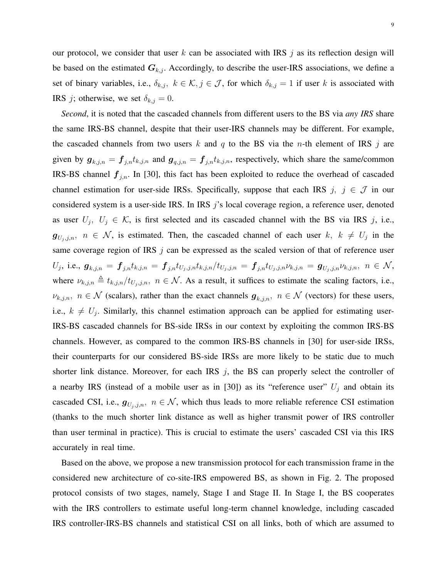our protocol, we consider that user k can be associated with IRS  $j$  as its reflection design will be based on the estimated  $G_{k,i}$ . Accordingly, to describe the user-IRS associations, we define a set of binary variables, i.e.,  $\delta_{k,j}$ ,  $k \in \mathcal{K}, j \in \mathcal{J}$ , for which  $\delta_{k,j} = 1$  if user k is associated with IRS *j*; otherwise, we set  $\delta_{k,j} = 0$ .

*Second*, it is noted that the cascaded channels from different users to the BS via *any IRS* share the same IRS-BS channel, despite that their user-IRS channels may be different. For example, the cascaded channels from two users k and q to the BS via the n-th element of IRS j are given by  $g_{k,j,n} = f_{j,n}t_{k,j,n}$  and  $g_{q,j,n} = f_{j,n}t_{k,j,n}$ , respectively, which share the same/common IRS-BS channel  $f_{i,n}$ . In [\[30\]](#page-33-3), this fact has been exploited to reduce the overhead of cascaded channel estimation for user-side IRSs. Specifically, suppose that each IRS  $j, j \in \mathcal{J}$  in our considered system is a user-side IRS. In IRS j's local coverage region, a reference user, denoted as user  $U_j$ ,  $U_j \in \mathcal{K}$ , is first selected and its cascaded channel with the BS via IRS j, i.e.,  $g_{U_j,j,n}, n \in \mathcal{N}$ , is estimated. Then, the cascaded channel of each user  $k, k \neq U_j$  in the same coverage region of IRS  $\dot{\gamma}$  can be expressed as the scaled version of that of reference user  $U_j, \text{ i.e., } \bm{g}_{k,j,n} = \bm{f}_{j,n} t_{k,j,n} = \bm{f}_{j,n} t_{U_j,j,n} t_{k,j,n} / t_{U_j,j,n} = \bm{f}_{j,n} t_{U_j,j,n} \nu_{k,j,n} = \bm{g}_{U_j,j,n} \nu_{k,j,n}, \,\, n \in \mathcal{N},$ where  $\nu_{k,j,n} \triangleq t_{k,j,n}/t_{U_j,j,n}, n \in \mathcal{N}$ . As a result, it suffices to estimate the scaling factors, i.e.,  $\nu_{k,j,n}, n \in \mathcal{N}$  (scalars), rather than the exact channels  $g_{k,j,n}, n \in \mathcal{N}$  (vectors) for these users, i.e.,  $k \neq U_j$ . Similarly, this channel estimation approach can be applied for estimating user-IRS-BS cascaded channels for BS-side IRSs in our context by exploiting the common IRS-BS channels. However, as compared to the common IRS-BS channels in [\[30\]](#page-33-3) for user-side IRSs, their counterparts for our considered BS-side IRSs are more likely to be static due to much shorter link distance. Moreover, for each IRS  $j$ , the BS can properly select the controller of a nearby IRS (instead of a mobile user as in [\[30\]](#page-33-3)) as its "reference user"  $U_j$  and obtain its cascaded CSI, i.e.,  $g_{U_i,j,n}$ ,  $n \in \mathcal{N}$ , which thus leads to more reliable reference CSI estimation (thanks to the much shorter link distance as well as higher transmit power of IRS controller than user terminal in practice). This is crucial to estimate the users' cascaded CSI via this IRS accurately in real time.

Based on the above, we propose a new transmission protocol for each transmission frame in the considered new architecture of co-site-IRS empowered BS, as shown in Fig. [2.](#page-9-0) The proposed protocol consists of two stages, namely, Stage I and Stage II. In Stage I, the BS cooperates with the IRS controllers to estimate useful long-term channel knowledge, including cascaded IRS controller-IRS-BS channels and statistical CSI on all links, both of which are assumed to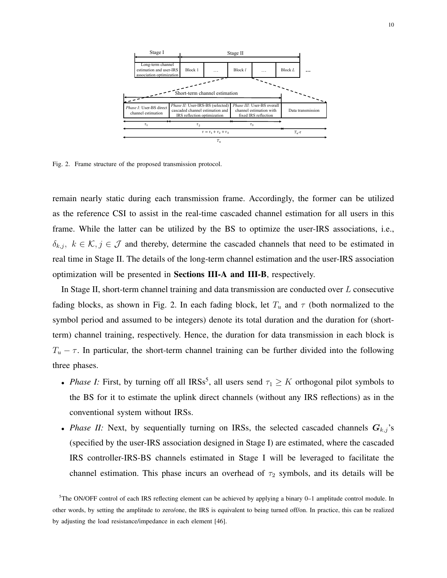

<span id="page-9-0"></span>Fig. 2. Frame structure of the proposed transmission protocol.

remain nearly static during each transmission frame. Accordingly, the former can be utilized as the reference CSI to assist in the real-time cascaded channel estimation for all users in this frame. While the latter can be utilized by the BS to optimize the user-IRS associations, i.e.,  $\delta_{k,j}, k \in \mathcal{K}, j \in \mathcal{J}$  and thereby, determine the cascaded channels that need to be estimated in real time in Stage II. The details of the long-term channel estimation and the user-IRS association optimization will be presented in Sections [III-](#page-11-0)A and [III-](#page-11-0)B, respectively.

In Stage II, short-term channel training and data transmission are conducted over L consecutive fading blocks, as shown in Fig. [2.](#page-9-0) In each fading block, let  $T_u$  and  $\tau$  (both normalized to the symbol period and assumed to be integers) denote its total duration and the duration for (shortterm) channel training, respectively. Hence, the duration for data transmission in each block is  $T_u - \tau$ . In particular, the short-term channel training can be further divided into the following three phases.

- *Phase I:* First, by turning off all IRSs<sup>[5](#page-9-1)</sup>, all users send  $\tau_1 \geq K$  orthogonal pilot symbols to the BS for it to estimate the uplink direct channels (without any IRS reflections) as in the conventional system without IRSs.
- *Phase II:* Next, by sequentially turning on IRSs, the selected cascaded channels  $G_{k,j}$ 's (specified by the user-IRS association designed in Stage I) are estimated, where the cascaded IRS controller-IRS-BS channels estimated in Stage I will be leveraged to facilitate the channel estimation. This phase incurs an overhead of  $\tau_2$  symbols, and its details will be

<span id="page-9-1"></span><sup>5</sup>The ON/OFF control of each IRS reflecting element can be achieved by applying a binary 0–1 amplitude control module. In other words, by setting the amplitude to zero/one, the IRS is equivalent to being turned off/on. In practice, this can be realized by adjusting the load resistance/impedance in each element [\[46\]](#page-34-1).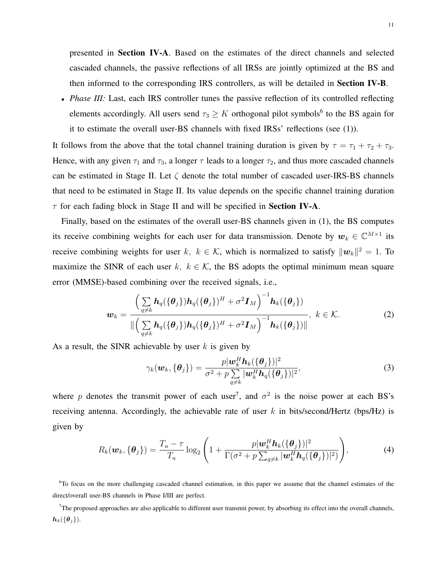presented in Section [IV-](#page-15-0)A. Based on the estimates of the direct channels and selected cascaded channels, the passive reflections of all IRSs are jointly optimized at the BS and then informed to the corresponding IRS controllers, as will be detailed in **Section [IV-](#page-15-0)B**.

• *Phase III:* Last, each IRS controller tunes the passive reflection of its controlled reflecting elements accordingly. All users send  $\tau_3 \geq K$  orthogonal pilot symbols<sup>[6](#page-10-0)</sup> to the BS again for it to estimate the overall user-BS channels with fixed IRSs' reflections (see [\(1\)](#page-7-1)).

It follows from the above that the total channel training duration is given by  $\tau = \tau_1 + \tau_2 + \tau_3$ . Hence, with any given  $\tau_1$  and  $\tau_3$ , a longer  $\tau$  leads to a longer  $\tau_2$ , and thus more cascaded channels can be estimated in Stage II. Let  $\zeta$  denote the total number of cascaded user-IRS-BS channels that need to be estimated in Stage II. Its value depends on the specific channel training duration  $\tau$  for each fading block in Stage II and will be specified in Section [IV-](#page-15-0)A.

Finally, based on the estimates of the overall user-BS channels given in [\(1\)](#page-7-1), the BS computes its receive combining weights for each user for data transmission. Denote by  $w_k \in \mathbb{C}^{M \times 1}$  its receive combining weights for user  $k, k \in \mathcal{K}$ , which is normalized to satisfy  $\|\boldsymbol{w}_k\|^2 = 1$ . To maximize the SINR of each user k,  $k \in \mathcal{K}$ , the BS adopts the optimal minimum mean square error (MMSE)-based combining over the received signals, i.e.,

$$
\boldsymbol{w}_{k} = \frac{\left(\sum\limits_{q \neq k} \boldsymbol{h}_{q}(\{\boldsymbol{\theta}_{j}\})\boldsymbol{h}_{q}(\{\boldsymbol{\theta}_{j}\})^{H} + \sigma^{2} \boldsymbol{I}_{M}\right)^{-1} \boldsymbol{h}_{k}(\{\boldsymbol{\theta}_{j}\})}{\|\left(\sum\limits_{q \neq k} \boldsymbol{h}_{q}(\{\boldsymbol{\theta}_{j}\})\boldsymbol{h}_{q}(\{\boldsymbol{\theta}_{j}\})^{H} + \sigma^{2} \boldsymbol{I}_{M}\right)^{-1} \boldsymbol{h}_{k}(\{\boldsymbol{\theta}_{j}\})\|}, \ k \in \mathcal{K}.
$$
 (2)

As a result, the SINR achievable by user  $k$  is given by

<span id="page-10-4"></span><span id="page-10-3"></span><span id="page-10-2"></span>
$$
\gamma_k(\boldsymbol{w}_k, \{\boldsymbol{\theta}_j\}) = \frac{p|\boldsymbol{w}_k^H \boldsymbol{h}_k(\{\boldsymbol{\theta}_j\})|^2}{\sigma^2 + p \sum_{q \neq k} |\boldsymbol{w}_k^H \boldsymbol{h}_q(\{\boldsymbol{\theta}_j\})|^2},
$$
(3)

where p denotes the transmit power of each user<sup>[7](#page-10-1)</sup>, and  $\sigma^2$  is the noise power at each BS's receiving antenna. Accordingly, the achievable rate of user  $k$  in bits/second/Hertz (bps/Hz) is given by

$$
R_k(\boldsymbol{w}_k, \{\boldsymbol{\theta}_j\}) = \frac{T_u - \tau}{T_u} \log_2 \left( 1 + \frac{p |\boldsymbol{w}_k^H \boldsymbol{h}_k(\{\boldsymbol{\theta}_j\})|^2}{\Gamma(\sigma^2 + p \sum_{q \neq k} |\boldsymbol{w}_k^H \boldsymbol{h}_q(\{\boldsymbol{\theta}_j\})|^2)} \right),
$$
(4)

<span id="page-10-0"></span><sup>6</sup>To focus on the more challenging cascaded channel estimation, in this paper we assume that the channel estimates of the direct/overall user-BS channels in Phase I/III are perfect.

<span id="page-10-1"></span> $7$ The proposed approaches are also applicable to different user transmit power, by absorbing its effect into the overall channels,  $h_k({\theta_i})$ .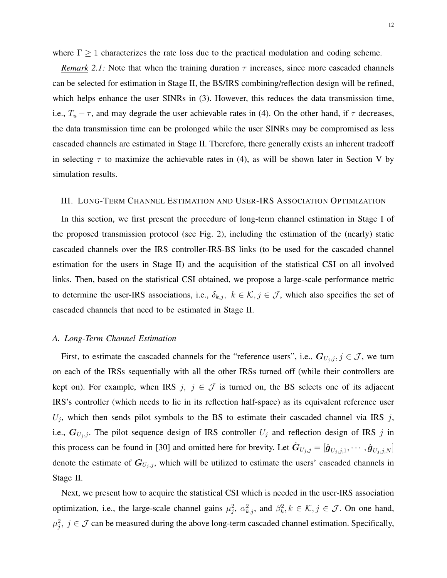where  $\Gamma \geq 1$  characterizes the rate loss due to the practical modulation and coding scheme.

*Remark* 2.1: Note that when the training duration  $\tau$  increases, since more cascaded channels can be selected for estimation in Stage II, the BS/IRS combining/reflection design will be refined, which helps enhance the user SINRs in [\(3\)](#page-10-2). However, this reduces the data transmission time, i.e.,  $T_u - \tau$ , and may degrade the user achievable rates in [\(4\)](#page-10-3). On the other hand, if  $\tau$  decreases, the data transmission time can be prolonged while the user SINRs may be compromised as less cascaded channels are estimated in Stage II. Therefore, there generally exists an inherent tradeoff in selecting  $\tau$  to maximize the achievable rates in [\(4\)](#page-10-3), as will be shown later in Section [V](#page-22-0) by simulation results.

# <span id="page-11-0"></span>III. LONG-TERM CHANNEL ESTIMATION AND USER-IRS ASSOCIATION OPTIMIZATION

In this section, we first present the procedure of long-term channel estimation in Stage I of the proposed transmission protocol (see Fig. [2\)](#page-9-0), including the estimation of the (nearly) static cascaded channels over the IRS controller-IRS-BS links (to be used for the cascaded channel estimation for the users in Stage II) and the acquisition of the statistical CSI on all involved links. Then, based on the statistical CSI obtained, we propose a large-scale performance metric to determine the user-IRS associations, i.e.,  $\delta_{k,j}$ ,  $k \in \mathcal{K}, j \in \mathcal{J}$ , which also specifies the set of cascaded channels that need to be estimated in Stage II.

#### *A. Long-Term Channel Estimation*

First, to estimate the cascaded channels for the "reference users", i.e.,  $G_{U_i,j}, j \in \mathcal{J}$ , we turn on each of the IRSs sequentially with all the other IRSs turned off (while their controllers are kept on). For example, when IRS  $j, j \in \mathcal{J}$  is turned on, the BS selects one of its adjacent IRS's controller (which needs to lie in its reflection half-space) as its equivalent reference user  $U_j$ , which then sends pilot symbols to the BS to estimate their cascaded channel via IRS j, i.e.,  $G_{U_j,j}$ . The pilot sequence design of IRS controller  $U_j$  and reflection design of IRS j in this process can be found in [\[30\]](#page-33-3) and omitted here for brevity. Let  $\hat{G}_{U_j,j} = [\hat{g}_{U_j,j,1}, \cdots, \hat{g}_{U_j,j,N}]$ denote the estimate of  $G_{U_j, j}$ , which will be utilized to estimate the users' cascaded channels in Stage II.

Next, we present how to acquire the statistical CSI which is needed in the user-IRS association optimization, i.e., the large-scale channel gains  $\mu_j^2$ ,  $\alpha_{k,j}^2$ , and  $\beta_k^2$ ,  $k \in \mathcal{K}, j \in \mathcal{J}$ . On one hand,  $\mu_j^2$ ,  $j \in \mathcal{J}$  can be measured during the above long-term cascaded channel estimation. Specifically,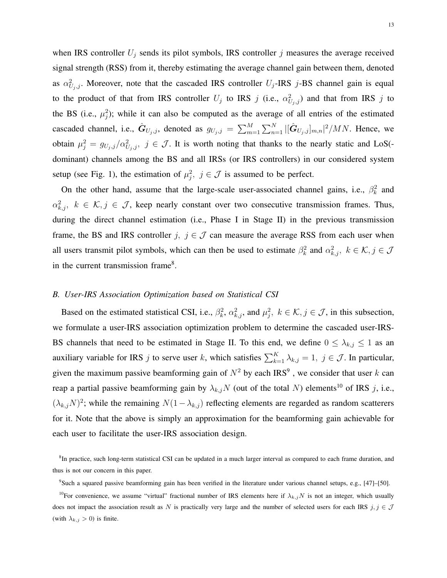when IRS controller  $U_j$  sends its pilot symbols, IRS controller j measures the average received signal strength (RSS) from it, thereby estimating the average channel gain between them, denoted as  $\alpha_{U_j,j}^2$ . Moreover, note that the cascaded IRS controller  $U_j$ -IRS j-BS channel gain is equal to the product of that from IRS controller  $U_j$  to IRS  $j$  (i.e.,  $\alpha_{U_j,j}^2$ ) and that from IRS  $j$  to the BS (i.e.,  $\mu_j^2$ ); while it can also be computed as the average of all entries of the estimated cascaded channel, i.e.,  $\hat{G}_{U_j,j}$ , denoted as  $g_{U_j,j} = \sum_{m=1}^{M} \sum_{n=1}^{N} |[\hat{G}_{U_j,j}]_{m,n}|^2 / MN$ . Hence, we obtain  $\mu_j^2 = g_{U_j,j}/\alpha_{U_j,j}^2$ ,  $j \in \mathcal{J}$ . It is worth noting that thanks to the nearly static and LoS(dominant) channels among the BS and all IRSs (or IRS controllers) in our considered system setup (see Fig. [1\)](#page-2-1), the estimation of  $\mu_j^2$ ,  $j \in \mathcal{J}$  is assumed to be perfect.

On the other hand, assume that the large-scale user-associated channel gains, i.e.,  $\beta_k^2$  and  $\alpha_{k,j}^2$ ,  $k \in \mathcal{K}, j \in \mathcal{J}$ , keep nearly constant over two consecutive transmission frames. Thus, during the direct channel estimation (i.e., Phase I in Stage II) in the previous transmission frame, the BS and IRS controller  $j, j \in \mathcal{J}$  can measure the average RSS from each user when all users transmit pilot symbols, which can then be used to estimate  $\beta_k^2$  and  $\alpha_{k,j}^2$ ,  $k \in \mathcal{K}, j \in \mathcal{J}$ in the current transmission frame<sup>[8](#page-12-0)</sup>.

### *B. User-IRS Association Optimization based on Statistical CSI*

Based on the estimated statistical CSI, i.e.,  $\beta_k^2$ ,  $\alpha_{k,j}^2$ , and  $\mu_j^2$ ,  $k \in \mathcal{K}, j \in \mathcal{J}$ , in this subsection, we formulate a user-IRS association optimization problem to determine the cascaded user-IRS-BS channels that need to be estimated in Stage II. To this end, we define  $0 \leq \lambda_{k,j} \leq 1$  as an auxiliary variable for IRS j to serve user k, which satisfies  $\sum_{k=1}^{K} \lambda_{k,j} = 1$ ,  $j \in \mathcal{J}$ . In particular, given the maximum passive beamforming gain of  $N^2$  by each IRS<sup>[9](#page-12-1)</sup>, we consider that user k can reap a partial passive beamforming gain by  $\lambda_{k,j}N$  (out of the total N) elements<sup>[10](#page-12-2)</sup> of IRS j, i.e.,  $(\lambda_{k,j}N)^2$ ; while the remaining  $N(1-\lambda_{k,j})$  reflecting elements are regarded as random scatterers for it. Note that the above is simply an approximation for the beamforming gain achievable for each user to facilitate the user-IRS association design.

<span id="page-12-0"></span><sup>&</sup>lt;sup>8</sup>In practice, such long-term statistical CSI can be updated in a much larger interval as compared to each frame duration, and thus is not our concern in this paper.

<span id="page-12-2"></span><span id="page-12-1"></span><sup>9</sup> Such a squared passive beamforming gain has been verified in the literature under various channel setups, e.g., [\[47\]](#page-34-2)–[\[50\]](#page-34-3).

<sup>&</sup>lt;sup>10</sup>For convenience, we assume "virtual" fractional number of IRS elements here if  $\lambda_{k,j}N$  is not an integer, which usually does not impact the association result as N is practically very large and the number of selected users for each IRS  $j, j \in \mathcal{J}$ (with  $\lambda_{k,j} > 0$ ) is finite.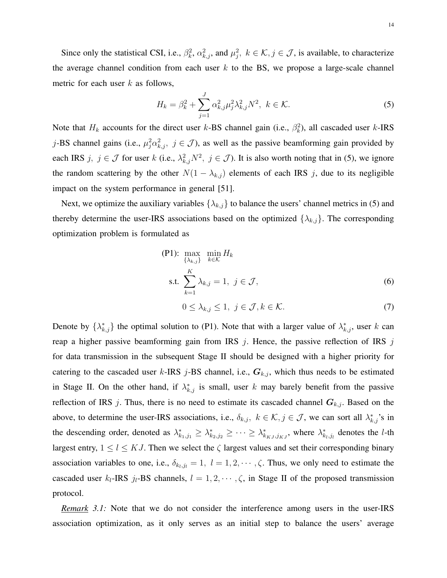Since only the statistical CSI, i.e.,  $\beta_k^2$ ,  $\alpha_{k,j}^2$ , and  $\mu_j^2$ ,  $k \in \mathcal{K}, j \in \mathcal{J}$ , is available, to characterize the average channel condition from each user  $k$  to the BS, we propose a large-scale channel metric for each user  $k$  as follows,

<span id="page-13-0"></span>
$$
H_k = \beta_k^2 + \sum_{j=1}^{J} \alpha_{k,j}^2 \mu_j^2 \lambda_{k,j}^2 N^2, \ k \in \mathcal{K}.
$$
 (5)

Note that  $H_k$  accounts for the direct user k-BS channel gain (i.e.,  $\beta_k^2$ ), all cascaded user k-IRS j-BS channel gains (i.e.,  $\mu_j^2 \alpha_{k,j}^2$ ,  $j \in \mathcal{J}$ ), as well as the passive beamforming gain provided by each IRS  $j, j \in \mathcal{J}$  for user k (i.e.,  $\lambda^2_{k,j} N^2$ ,  $j \in \mathcal{J}$ ). It is also worth noting that in [\(5\)](#page-13-0), we ignore the random scattering by the other  $N(1 - \lambda_{k,j})$  elements of each IRS j, due to its negligible impact on the system performance in general [\[51\]](#page-34-4).

Next, we optimize the auxiliary variables  $\{\lambda_{k,j}\}$  to balance the users' channel metrics in [\(5\)](#page-13-0) and thereby determine the user-IRS associations based on the optimized  $\{\lambda_{k,j}\}$ . The corresponding optimization problem is formulated as

$$
\begin{aligned} \n\text{(P1):} \quad & \max_{\{\lambda_{k,j}\}} \quad \min_{k \in \mathcal{K}} H_k \\ \n\text{s.t.} \quad & \sum_{k=1}^{K} \lambda_{k,j} = 1, \ j \in \mathcal{J}, \n\end{aligned} \tag{6}
$$

<span id="page-13-2"></span><span id="page-13-1"></span>
$$
0 \leq \lambda_{k,j} \leq 1, \ j \in \mathcal{J}, k \in \mathcal{K}.\tag{7}
$$

Denote by  $\{\lambda_{k,j}^*\}$  the optimal solution to (P1). Note that with a larger value of  $\lambda_{k,j}^*$ , user k can reap a higher passive beamforming gain from IRS  $j$ . Hence, the passive reflection of IRS  $j$ for data transmission in the subsequent Stage II should be designed with a higher priority for catering to the cascaded user k-IRS j-BS channel, i.e.,  $G_{k,j}$ , which thus needs to be estimated in Stage II. On the other hand, if  $\lambda_{k,j}^*$  is small, user k may barely benefit from the passive reflection of IRS j. Thus, there is no need to estimate its cascaded channel  $G_{k,j}$ . Based on the above, to determine the user-IRS associations, i.e.,  $\delta_{k,j}$ ,  $k \in \mathcal{K}, j \in \mathcal{J}$ , we can sort all  $\lambda_{k,j}^*$ 's in the descending order, denoted as  $\lambda_{k_1,j_1}^* \geq \lambda_{k_2,j_2}^* \geq \cdots \geq \lambda_{k_{KJ},j_{KJ}}^*$ , where  $\lambda_{k_l,j_l}^*$  denotes the *l*-th largest entry,  $1 \leq l \leq KJ$ . Then we select the  $\zeta$  largest values and set their corresponding binary association variables to one, i.e.,  $\delta_{k_l,j_l} = 1, l = 1, 2, \cdots, \zeta$ . Thus, we only need to estimate the cascaded user  $k_l$ -IRS  $j_l$ -BS channels,  $l = 1, 2, \dots, \zeta$ , in Stage II of the proposed transmission protocol.

*Remark 3.1:* Note that we do not consider the interference among users in the user-IRS association optimization, as it only serves as an initial step to balance the users' average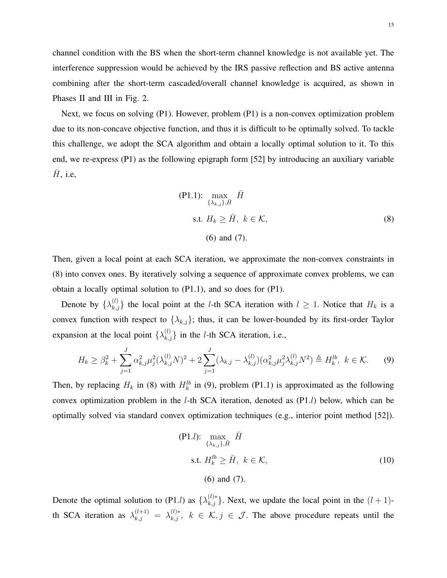channel condition with the BS when the short-term channel knowledge is not available yet. The interference suppression would be achieved by the IRS passive reflection and BS active antenna combining after the short-term cascaded/overall channel knowledge is acquired, as shown in Phases II and III in Fig. [2.](#page-9-0)

Next, we focus on solving (P1). However, problem (P1) is a non-convex optimization problem due to its non-concave objective function, and thus it is difficult to be optimally solved. To tackle this challenge, we adopt the SCA algorithm and obtain a locally optimal solution to it. To this end, we re-express (P1) as the following epigraph form [\[52\]](#page-34-5) by introducing an auxiliary variable  $H$ , i.e,

<span id="page-14-0"></span>
$$
\begin{aligned} \n\text{(P1.1):} \quad & \max_{\{\lambda_{k,j}\}, \bar{H}} \bar{H} \\ \n\text{s.t. } & H_k \ge \bar{H}, \ k \in \mathcal{K}, \\ \n\text{(6) and (7).} \n\end{aligned} \tag{8}
$$

Then, given a local point at each SCA iteration, we approximate the non-convex constraints in [\(8\)](#page-14-0) into convex ones. By iteratively solving a sequence of approximate convex problems, we can obtain a locally optimal solution to (P1.1), and so does for (P1).

Denote by  $\{\lambda_{k,j}^{(l)}\}$  the local point at the *l*-th SCA iteration with  $l \geq 1$ . Notice that  $H_k$  is a convex function with respect to  $\{\lambda_{k,j}\}$ ; thus, it can be lower-bounded by its first-order Taylor expansion at the local point  $\{\lambda_{k,j}^{(l)}\}$  in the *l*-th SCA iteration, i.e.,

$$
H_k \ge \beta_k^2 + \sum_{j=1}^J \alpha_{k,j}^2 \mu_j^2 (\lambda_{k,j}^{(l)} N)^2 + 2 \sum_{j=1}^J (\lambda_{k,j} - \lambda_{k,j}^{(l)}) (\alpha_{k,j}^2 \mu_j^2 \lambda_{k,j}^{(l)} N^2) \triangleq H_k^{lb}, \ k \in \mathcal{K}.
$$
 (9)

Then, by replacing  $H_k$  in [\(8\)](#page-14-0) with  $H_k^{lb}$  in [\(9\)](#page-14-1), problem (P1.1) is approximated as the following convex optimization problem in the *l*-th SCA iteration, denoted as  $(P1.1)$  below, which can be optimally solved via standard convex optimization techniques (e.g., interior point method [\[52\]](#page-34-5)).

<span id="page-14-1"></span>
$$
\begin{aligned} \n\text{(P1.1):} \max_{\{\lambda_{k,j}\}, \bar{H}} \bar{H} \\ \n\text{s.t. } H_k^{lb} \ge \bar{H}, \ k \in \mathcal{K}, \n\end{aligned} \tag{10}
$$
\n
$$
\text{(6) and (7).}
$$

Denote the optimal solution to (P1.*l*) as  $\{\lambda_{k,j}^{(l)*}\}\$ . Next, we update the local point in the  $(l+1)$ th SCA iteration as  $\lambda_{k,j}^{(l+1)} = \lambda_{k,j}^{(l)*}, k \in \mathcal{K}, j \in \mathcal{J}$ . The above procedure repeats until the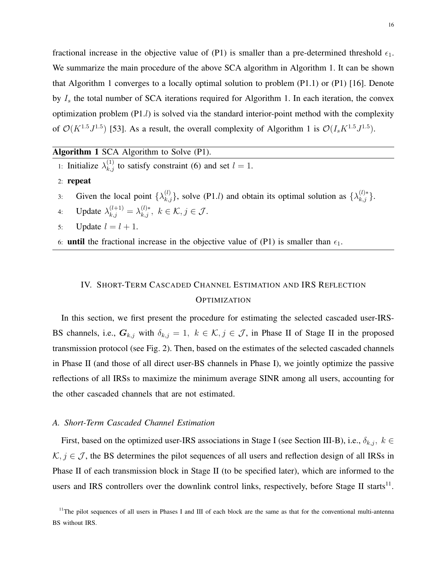fractional increase in the objective value of (P1) is smaller than a pre-determined threshold  $\epsilon_1$ . We summarize the main procedure of the above SCA algorithm in Algorithm [1.](#page-15-1) It can be shown that Algorithm [1](#page-15-1) converges to a locally optimal solution to problem (P1.1) or (P1) [\[16\]](#page-32-9). Denote by  $I_s$  the total number of SCA iterations required for Algorithm [1.](#page-15-1) In each iteration, the convex optimization problem (P1.l) is solved via the standard interior-point method with the complexity of  $\mathcal{O}(K^{1.5}J^{1.5})$  $\mathcal{O}(K^{1.5}J^{1.5})$  $\mathcal{O}(K^{1.5}J^{1.5})$  [\[53\]](#page-34-6). As a result, the overall complexity of Algorithm 1 is  $\mathcal{O}(I_sK^{1.5}J^{1.5})$ .

<span id="page-15-1"></span>Algorithm 1 SCA Algorithm to Solve (P1).

- 1: Initialize  $\lambda_{k,j}^{(1)}$  to satisfy constraint [\(6\)](#page-13-1) and set  $l = 1$ .
- 2: repeat
- 3: Given the local point  $\{\lambda_{k,j}^{(l)}\}$ , solve (P1.*l*) and obtain its optimal solution as  $\{\lambda_{k,j}^{(l)*}\}$ .
- 4: Update  $\lambda_{k,j}^{(l+1)} = \lambda_{k,j}^{(l)*}, k \in \mathcal{K}, j \in \mathcal{J}$ .
- 5: Update  $l = l + 1$ .
- 6: **until** the fractional increase in the objective value of (P1) is smaller than  $\epsilon_1$ .

# <span id="page-15-0"></span>IV. SHORT-TERM CASCADED CHANNEL ESTIMATION AND IRS REFLECTION **OPTIMIZATION**

In this section, we first present the procedure for estimating the selected cascaded user-IRS-BS channels, i.e.,  $G_{k,j}$  with  $\delta_{k,j} = 1, k \in \mathcal{K}, j \in \mathcal{J}$ , in Phase II of Stage II in the proposed transmission protocol (see Fig. [2\)](#page-9-0). Then, based on the estimates of the selected cascaded channels in Phase II (and those of all direct user-BS channels in Phase I), we jointly optimize the passive reflections of all IRSs to maximize the minimum average SINR among all users, accounting for the other cascaded channels that are not estimated.

# *A. Short-Term Cascaded Channel Estimation*

First, based on the optimized user-IRS associations in Stage I (see Section [III-](#page-11-0)B), i.e.,  $\delta_{k,j}$ ,  $k \in$  $K, j \in \mathcal{J}$ , the BS determines the pilot sequences of all users and reflection design of all IRSs in Phase II of each transmission block in Stage II (to be specified later), which are informed to the users and IRS controllers over the downlink control links, respectively, before Stage II starts $^{11}$  $^{11}$  $^{11}$ .

<span id="page-15-2"></span> $11$ The pilot sequences of all users in Phases I and III of each block are the same as that for the conventional multi-antenna BS without IRS.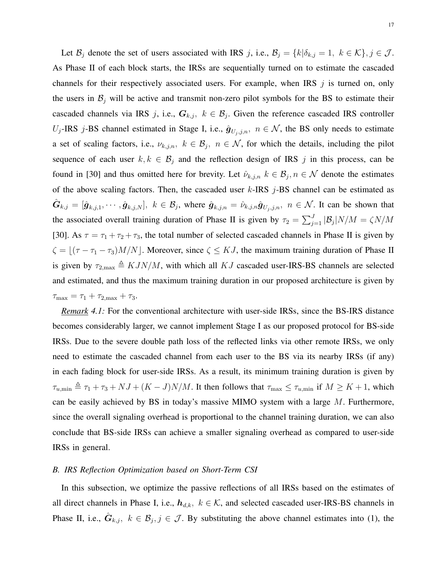Let  $\mathcal{B}_j$  denote the set of users associated with IRS j, i.e.,  $\mathcal{B}_j = \{k | \delta_{k,j} = 1, k \in \mathcal{K}\}, j \in \mathcal{J}$ . As Phase II of each block starts, the IRSs are sequentially turned on to estimate the cascaded channels for their respectively associated users. For example, when IRS  $j$  is turned on, only the users in  $\mathcal{B}_j$  will be active and transmit non-zero pilot symbols for the BS to estimate their cascaded channels via IRS j, i.e.,  $G_{k,j}$ ,  $k \in \mathcal{B}_j$ . Given the reference cascaded IRS controller  $U_j$ -IRS j-BS channel estimated in Stage I, i.e.,  $\hat{g}_{U_j,j,n}$ ,  $n \in \mathcal{N}$ , the BS only needs to estimate a set of scaling factors, i.e.,  $\nu_{k,j,n}$ ,  $k \in \mathcal{B}_j$ ,  $n \in \mathcal{N}$ , for which the details, including the pilot sequence of each user  $k, k \in \mathcal{B}_j$  and the reflection design of IRS j in this process, can be found in [\[30\]](#page-33-3) and thus omitted here for brevity. Let  $\hat{\nu}_{k,j,n}$   $k \in \mathcal{B}_j, n \in \mathcal{N}$  denote the estimates of the above scaling factors. Then, the cascaded user  $k$ -IRS  $j$ -BS channel can be estimated as  $\hat{G}_{k,j} = [\hat{g}_{k,j,1}, \cdots, \hat{g}_{k,j,N}], k \in \mathcal{B}_j$ , where  $\hat{g}_{k,j,n} = \hat{\nu}_{k,j,n} \hat{g}_{U_j,j,n}, n \in \mathcal{N}$ . It can be shown that the associated overall training duration of Phase II is given by  $\tau_2 = \sum_{j=1}^{J} |\mathcal{B}_j| N/M = \zeta N/M$ [\[30\]](#page-33-3). As  $\tau = \tau_1 + \tau_2 + \tau_3$ , the total number of selected cascaded channels in Phase II is given by  $\zeta = \lfloor (\tau - \tau_1 - \tau_3)M/N \rfloor$ . Moreover, since  $\zeta \le KJ$ , the maximum training duration of Phase II is given by  $\tau_{2,\text{max}} \triangleq KJN/M$ , with which all KJ cascaded user-IRS-BS channels are selected and estimated, and thus the maximum training duration in our proposed architecture is given by  $\tau_{\text{max}} = \tau_1 + \tau_{2,\text{max}} + \tau_3.$ 

<span id="page-16-0"></span>*Remark 4.1:* For the conventional architecture with user-side IRSs, since the BS-IRS distance becomes considerably larger, we cannot implement Stage I as our proposed protocol for BS-side IRSs. Due to the severe double path loss of the reflected links via other remote IRSs, we only need to estimate the cascaded channel from each user to the BS via its nearby IRSs (if any) in each fading block for user-side IRSs. As a result, its minimum training duration is given by  $\tau_{u,\min} \triangleq \tau_1 + \tau_3 + NJ + (K - J)N/M$ . It then follows that  $\tau_{\max} \leq \tau_{u,\min}$  if  $M \geq K + 1$ , which can be easily achieved by BS in today's massive MIMO system with a large  $M$ . Furthermore, since the overall signaling overhead is proportional to the channel training duration, we can also conclude that BS-side IRSs can achieve a smaller signaling overhead as compared to user-side IRSs in general.

#### *B. IRS Reflection Optimization based on Short-Term CSI*

In this subsection, we optimize the passive reflections of all IRSs based on the estimates of all direct channels in Phase I, i.e.,  $h_{d,k}$ ,  $k \in K$ , and selected cascaded user-IRS-BS channels in Phase II, i.e.,  $\hat{G}_{k,j}$ ,  $k \in \mathcal{B}_j$ ,  $j \in \mathcal{J}$ . By substituting the above channel estimates into [\(1\)](#page-7-1), the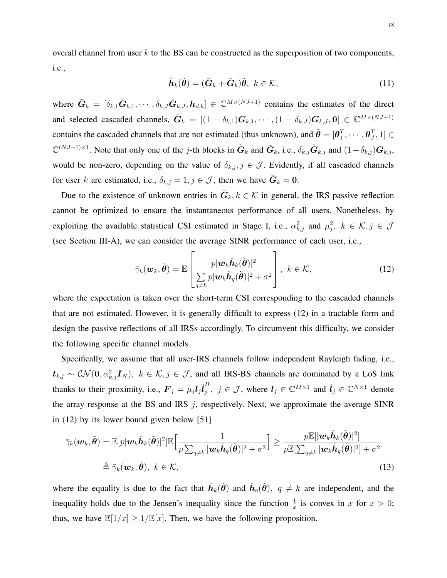overall channel from user  $k$  to the BS can be constructed as the superposition of two components, i.e.,

$$
\hat{\boldsymbol{h}}_k(\tilde{\boldsymbol{\theta}}) = (\tilde{\boldsymbol{G}}_k + \bar{\boldsymbol{G}}_k)\tilde{\boldsymbol{\theta}}, \ k \in \mathcal{K}, \tag{11}
$$

where  $\tilde{G}_k = [\delta_{k,1}\hat{G}_{k,1}, \cdots, \delta_{k,J}\hat{G}_{k,J}, h_{d,k}] \in \mathbb{C}^{M \times (NJ+1)}$  contains the estimates of the direct and selected cascaded channels,  $\bar{G}_k = [(1 - \delta_{k,1})G_{k,1}, \cdots, (1 - \delta_{k,J})G_{k,J}, 0] \in \mathbb{C}^{M \times (NJ+1)}$ contains the cascaded channels that are not estimated (thus unknown), and  $\tilde{\theta} = [\theta_1^T]$  $_{1}^{T},\cdots,\boldsymbol{\theta}_{J}^{T}$  $\left[ \begin{smallmatrix} T & 1 \ J, 1 \end{smallmatrix} \right] \in$  $\mathbb{C}^{(NJ+1)\times 1}$ . Note that only one of the j-th blocks in  $\tilde{G}_k$  and  $\bar{G}_k$ , i.e.,  $\delta_{k,j}\hat{G}_{k,j}$  and  $(1-\delta_{k,j})G_{k,j}$ , would be non-zero, depending on the value of  $\delta_{k,j}$ ,  $j \in \mathcal{J}$ . Evidently, if all cascaded channels for user k are estimated, i.e.,  $\delta_{k,j} = 1, j \in \mathcal{J}$ , then we have  $\bar{G}_k = 0$ .

Due to the existence of unknown entries in  $\bar{G}_k, k \in \mathcal{K}$  in general, the IRS passive reflection cannot be optimized to ensure the instantaneous performance of all users. Nonetheless, by exploiting the available statistical CSI estimated in Stage I, i.e.,  $\alpha_{k,j}^2$  and  $\mu_j^2$ ,  $k \in \mathcal{K}, j \in \mathcal{J}$ (see Section [III-](#page-11-0)A), we can consider the average SINR performance of each user, i.e.,

<span id="page-17-1"></span><span id="page-17-0"></span>
$$
\bar{\gamma}_k(\boldsymbol{w}_k, \tilde{\boldsymbol{\theta}}) = \mathbb{E}\left[\frac{p|\boldsymbol{w}_k \hat{\boldsymbol{h}}_k(\tilde{\boldsymbol{\theta}})|^2}{\sum\limits_{q \neq k} p|\boldsymbol{w}_k \hat{\boldsymbol{h}}_q(\tilde{\boldsymbol{\theta}})|^2 + \sigma^2}\right], \ k \in \mathcal{K},
$$
\n(12)

where the expectation is taken over the short-term CSI corresponding to the cascaded channels that are not estimated. However, it is generally difficult to express [\(12\)](#page-17-0) in a tractable form and design the passive reflections of all IRSs accordingly. To circumvent this difficulty, we consider the following specific channel models.

Specifically, we assume that all user-IRS channels follow independent Rayleigh fading, i.e.,  $t_{k,j} \sim \mathcal{CN}(0, \alpha_{k,j}^2 \boldsymbol{I}_N)$ ,  $k \in \mathcal{K}, j \in \mathcal{J}$ , and all IRS-BS channels are dominated by a LoS link thanks to their proximity, i.e.,  $\mathbf{F}_j = \mu_j \mathbf{l}_j \tilde{\mathbf{l}}_j^H$  $j^H$ ,  $j \in \mathcal{J}$ , where  $l_j \in \mathbb{C}^{M \times 1}$  and  $\tilde{l}_j \in \mathbb{C}^{N \times 1}$  denote the array response at the BS and IRS  $j$ , respectively. Next, we approximate the average SINR in [\(12\)](#page-17-0) by its lower bound given below [\[51\]](#page-34-4)

$$
\bar{\gamma}_k(\boldsymbol{w}_k, \tilde{\boldsymbol{\theta}}) = \mathbb{E}[p|\boldsymbol{w}_k \hat{\boldsymbol{h}}_k(\tilde{\boldsymbol{\theta}})|^2] \mathbb{E}\Big[\frac{1}{p\sum_{q\neq k} |\boldsymbol{w}_k \hat{\boldsymbol{h}}_q(\tilde{\boldsymbol{\theta}})|^2 + \sigma^2}\Big] \geq \frac{p\mathbb{E}[|\boldsymbol{w}_k \hat{\boldsymbol{h}}_k(\tilde{\boldsymbol{\theta}})|^2]}{p\mathbb{E}[\sum_{q\neq k} |\boldsymbol{w}_k \hat{\boldsymbol{h}}_q(\tilde{\boldsymbol{\theta}})|^2 + \sigma^2}
$$
\n
$$
\triangleq \tilde{\gamma}_k(\boldsymbol{w}_k, \tilde{\boldsymbol{\theta}}), \ k \in \mathcal{K},
$$
\n(13)

<span id="page-17-2"></span>where the equality is due to the fact that  $\hat{h}_k(\tilde{\theta})$  and  $\hat{h}_q(\tilde{\theta})$ ,  $q \neq k$  are independent, and the inequality holds due to the Jensen's inequality since the function  $\frac{1}{x}$  is convex in x for  $x > 0$ ; thus, we have  $\mathbb{E}[1/x] \ge 1/\mathbb{E}[x]$ . Then, we have the following proposition.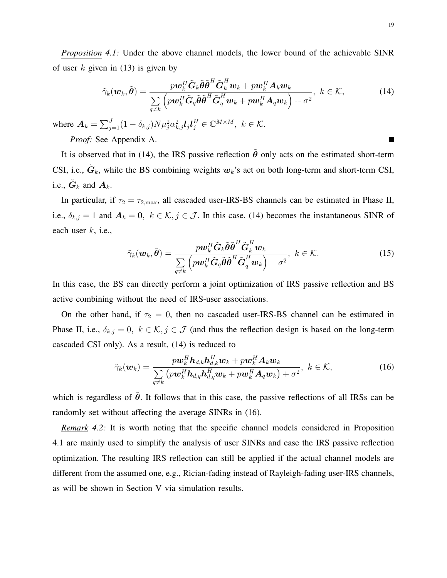*Proposition 4.1:* Under the above channel models, the lower bound of the achievable SINR of user k given in  $(13)$  is given by

$$
\tilde{\gamma}_k(\boldsymbol{w}_k, \tilde{\boldsymbol{\theta}}) = \frac{p \boldsymbol{w}_k^H \tilde{\boldsymbol{G}}_k \tilde{\boldsymbol{\theta}} \tilde{\boldsymbol{\theta}}^H \tilde{\boldsymbol{G}}_k^H \boldsymbol{w}_k + p \boldsymbol{w}_k^H \boldsymbol{A}_k \boldsymbol{w}_k}{\sum\limits_{q \neq k} \left( p \boldsymbol{w}_k^H \tilde{\boldsymbol{G}}_q \tilde{\boldsymbol{\theta}} \tilde{\boldsymbol{\theta}}^H \tilde{\boldsymbol{G}}_q^H \boldsymbol{w}_k + p \boldsymbol{w}_k^H \boldsymbol{A}_q \boldsymbol{w}_k \right) + \sigma^2}, \ k \in \mathcal{K},
$$
\n(14)

where  $\mathbf{A}_k = \sum_{j=1}^J (1 - \delta_{k,j}) N \mu_j^2 \alpha_{k,j}^2 \mathbf{I}_j \mathbf{I}_j^H \in \mathbb{C}^{M \times M}, k \in \mathcal{K}$ .

*Proof:* See Appendix [A.](#page-30-0)

It is observed that in [\(14\)](#page-18-0), the IRS passive reflection  $\hat{\theta}$  only acts on the estimated short-term CSI, i.e.,  $\tilde{G}_k$ , while the BS combining weights  $w_k$ 's act on both long-term and short-term CSI, i.e.,  $\tilde{G}_k$  and  $A_k$ .

In particular, if  $\tau_2 = \tau_{2,\text{max}}$ , all cascaded user-IRS-BS channels can be estimated in Phase II, i.e.,  $\delta_{k,j} = 1$  and  $A_k = 0$ ,  $k \in \mathcal{K}, j \in \mathcal{J}$ . In this case, [\(14\)](#page-18-0) becomes the instantaneous SINR of each user  $k$ , i.e.,

$$
\tilde{\gamma}_k(\boldsymbol{w}_k, \tilde{\boldsymbol{\theta}}) = \frac{p \boldsymbol{w}_k^H \tilde{\boldsymbol{G}}_k \tilde{\boldsymbol{\theta}} \tilde{\boldsymbol{\theta}}^H \tilde{\boldsymbol{G}}_k^H \boldsymbol{w}_k}{\sum\limits_{q \neq k} \left( p \boldsymbol{w}_k^H \tilde{\boldsymbol{G}}_q \tilde{\boldsymbol{\theta}} \tilde{\boldsymbol{\theta}}^H \tilde{\boldsymbol{G}}_q^H \boldsymbol{w}_k \right) + \sigma^2}, \ k \in \mathcal{K}.
$$
\n(15)

In this case, the BS can directly perform a joint optimization of IRS passive reflection and BS active combining without the need of IRS-user associations.

On the other hand, if  $\tau_2 = 0$ , then no cascaded user-IRS-BS channel can be estimated in Phase II, i.e.,  $\delta_{k,j} = 0$ ,  $k \in \mathcal{K}, j \in \mathcal{J}$  (and thus the reflection design is based on the long-term cascaded CSI only). As a result, [\(14\)](#page-18-0) is reduced to

$$
\tilde{\gamma}_k(\boldsymbol{w}_k) = \frac{p \boldsymbol{w}_k^H \boldsymbol{h}_{d,k} \boldsymbol{h}_{d,k}^H \boldsymbol{w}_k + p \boldsymbol{w}_k^H \boldsymbol{A}_k \boldsymbol{w}_k}{\sum\limits_{q \neq k} \left( p \boldsymbol{w}_k^H \boldsymbol{h}_{d,q} \boldsymbol{h}_{d,q}^H \boldsymbol{w}_k + p \boldsymbol{w}_k^H \boldsymbol{A}_q \boldsymbol{w}_k \right) + \sigma^2}, \ k \in \mathcal{K},
$$
\n(16)

which is regardless of  $\tilde{\theta}$ . It follows that in this case, the passive reflections of all IRSs can be randomly set without affecting the average SINRs in [\(16\)](#page-18-1).

*Remark 4.2:* It is worth noting that the specific channel models considered in Proposition [4.1](#page-17-2) are mainly used to simplify the analysis of user SINRs and ease the IRS passive reflection optimization. The resulting IRS reflection can still be applied if the actual channel models are different from the assumed one, e.g., Rician-fading instead of Rayleigh-fading user-IRS channels, as will be shown in Section [V](#page-22-0) via simulation results.

<span id="page-18-1"></span><span id="page-18-0"></span> $\blacksquare$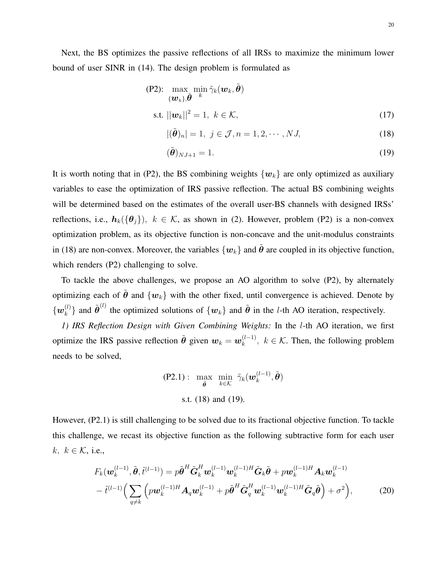$$
\begin{aligned} \n\text{(P2):} \quad & \max_{\{\boldsymbol{w}_k\}, \tilde{\boldsymbol{\theta}} \quad k} \min \tilde{\gamma}_k(\boldsymbol{w}_k, \tilde{\boldsymbol{\theta}}) \\ \n\text{s.t. } & ||\boldsymbol{w}_k||^2 = 1, \ k \in \mathcal{K}, \n\end{aligned} \tag{17}
$$

<span id="page-19-3"></span><span id="page-19-1"></span><span id="page-19-0"></span>
$$
|(\tilde{\boldsymbol{\theta}})_n| = 1, \ j \in \mathcal{J}, n = 1, 2, \cdots, NJ,
$$
\n(18)

$$
(\tilde{\boldsymbol{\theta}})_{NJ+1} = 1. \tag{19}
$$

It is worth noting that in (P2), the BS combining weights  $\{w_k\}$  are only optimized as auxiliary variables to ease the optimization of IRS passive reflection. The actual BS combining weights will be determined based on the estimates of the overall user-BS channels with designed IRSs' reflections, i.e.,  $h_k({\theta_j})$ ,  $k \in \mathcal{K}$ , as shown in [\(2\)](#page-10-4). However, problem (P2) is a non-convex optimization problem, as its objective function is non-concave and the unit-modulus constraints in [\(18\)](#page-19-0) are non-convex. Moreover, the variables  $\{w_k\}$  and  $\tilde{\theta}$  are coupled in its objective function, which renders (P2) challenging to solve.

To tackle the above challenges, we propose an AO algorithm to solve (P2), by alternately optimizing each of  $\tilde{\theta}$  and  $\{w_k\}$  with the other fixed, until convergence is achieved. Denote by  $\{\boldsymbol{w}_k^{(l)}$  $\hat{\theta}^{(l)}$ } and  $\tilde{\theta}^{(l)}$  the optimized solutions of  $\{w_k\}$  and  $\tilde{\theta}$  in the *l*-th AO iteration, respectively.

*1) IRS Reflection Design with Given Combining Weights:* In the l-th AO iteration, we first optimize the IRS passive reflection  $\tilde{\theta}$  given  $w_k = w_k^{(l-1)}$  $\kappa_k^{(l-1)}$ ,  $k \in \mathcal{K}$ . Then, the following problem needs to be solved,

<span id="page-19-2"></span>
$$
\text{(P2.1):} \quad \max_{\tilde{\theta}} \quad \min_{k \in \mathcal{K}} \quad \tilde{\gamma}_k(\boldsymbol{w}_k^{(l-1)}, \tilde{\boldsymbol{\theta}})
$$
\n
$$
\text{s.t. (18) and (19).}
$$

However, (P2.1) is still challenging to be solved due to its fractional objective function. To tackle this challenge, we recast its objective function as the following subtractive form for each user k,  $k \in \mathcal{K}$ , i.e.,

$$
F_k(\boldsymbol{w}_k^{(l-1)}, \tilde{\boldsymbol{\theta}}, \tilde{t}^{(l-1)}) = p\tilde{\boldsymbol{\theta}}^H \tilde{\boldsymbol{G}}_k^H \boldsymbol{w}_k^{(l-1)} \boldsymbol{w}_k^{(l-1)H} \tilde{\boldsymbol{G}}_k \tilde{\boldsymbol{\theta}} + p \boldsymbol{w}_k^{(l-1)H} \boldsymbol{A}_k \boldsymbol{w}_k^{(l-1)} - \tilde{t}^{(l-1)} \Big( \sum_{q \neq k} \left( p \boldsymbol{w}_k^{(l-1)H} \boldsymbol{A}_q \boldsymbol{w}_k^{(l-1)} + p \tilde{\boldsymbol{\theta}}^H \tilde{\boldsymbol{G}}_q^H \boldsymbol{w}_k^{(l-1)} \boldsymbol{w}_k^{(l-1)H} \tilde{\boldsymbol{G}}_q \tilde{\boldsymbol{\theta}} \right) + \sigma^2 \Big),
$$
(20)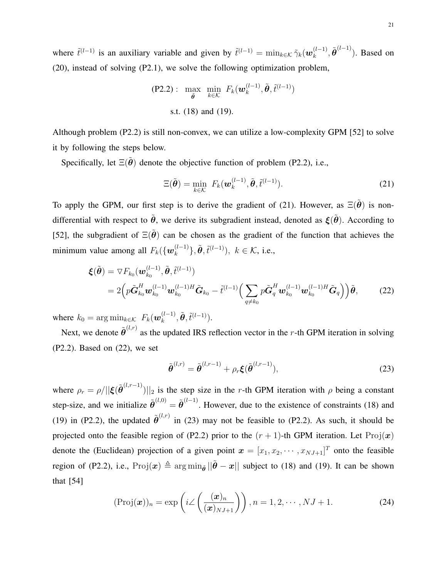where  $\tilde{t}^{(l-1)}$  is an auxiliary variable and given by  $\tilde{t}^{(l-1)} = \min_{k \in \mathcal{K}} \tilde{\gamma}_k(\boldsymbol{w}_k^{(l-1)})$  $\widetilde{\boldsymbol{h}}^{(l-1)}$ ,  $\widetilde{\boldsymbol{\theta}}^{(l-1)}$ ). Based on [\(20\)](#page-19-2), instead of solving (P2.1), we solve the following optimization problem,

$$
\text{(P2.2):} \quad \max_{\tilde{\boldsymbol{\theta}}} \quad \min_{k \in \mathcal{K}} \quad F_k(\boldsymbol{w}_k^{(l-1)}, \tilde{\boldsymbol{\theta}}, \tilde{t}^{(l-1)})
$$
\n
$$
\text{s.t. (18) and (19).}
$$

Although problem (P2.2) is still non-convex, we can utilize a low-complexity GPM [\[52\]](#page-34-5) to solve it by following the steps below.

Specifically, let  $\Xi(\tilde{\theta})$  denote the objective function of problem (P2.2), i.e.,

<span id="page-20-0"></span>
$$
\Xi(\tilde{\boldsymbol{\theta}}) = \min_{k \in \mathcal{K}} F_k(\boldsymbol{w}_k^{(l-1)}, \tilde{\boldsymbol{\theta}}, \tilde{t}^{(l-1)}).
$$
\n(21)

To apply the GPM, our first step is to derive the gradient of [\(21\)](#page-20-0). However, as  $\Xi(\tilde{\theta})$  is nondifferential with respect to  $\tilde{\theta}$ , we derive its subgradient instead, denoted as  $\xi(\tilde{\theta})$ . According to [\[52\]](#page-34-5), the subgradient of  $\Xi(\tilde{\theta})$  can be chosen as the gradient of the function that achieves the minimum value among all  $F_k(\{\boldsymbol{w}_k^{(l-1)}\})$  ${k-l \choose k}, \tilde{\theta}, \tilde{t}^{(l-1)}), k \in \mathcal{K}$ , i.e.,

$$
\boldsymbol{\xi}(\tilde{\boldsymbol{\theta}}) = \nabla F_{k_0}(\boldsymbol{w}_{k_0}^{(l-1)}, \tilde{\boldsymbol{\theta}}, \tilde{t}^{(l-1)})
$$
\n
$$
= 2\Big( p\tilde{\boldsymbol{G}}_{k_0}^H \boldsymbol{w}_{k_0}^{(l-1)} \boldsymbol{w}_{k_0}^{(l-1)H} \tilde{\boldsymbol{G}}_{k_0} - \tilde{t}^{(l-1)} \Big( \sum_{q \neq k_0} p\tilde{\boldsymbol{G}}_q^H \boldsymbol{w}_{k_0}^{(l-1)} \boldsymbol{w}_{k_0}^{(l-1)H} \tilde{\boldsymbol{G}}_q \Big) \Big) \tilde{\boldsymbol{\theta}},
$$
\n(22)

where  $k_0 = \arg \min_{k \in \mathcal{K}} F_k(\boldsymbol{w}_k^{(l-1)})$  $_{k}^{(l-1)},\tilde{\boldsymbol{\theta}},\tilde{t}^{(l-1)}).$ 

Next, we denote  $\tilde{\theta}^{(l,r)}$  as the updated IRS reflection vector in the r-th GPM iteration in solving (P2.2). Based on [\(22\)](#page-20-1), we set

<span id="page-20-2"></span><span id="page-20-1"></span>
$$
\tilde{\boldsymbol{\theta}}^{(l,r)} = \tilde{\boldsymbol{\theta}}^{(l,r-1)} + \rho_r \boldsymbol{\xi}(\tilde{\boldsymbol{\theta}}^{(l,r-1)}),
$$
\n(23)

where  $\rho_r = \rho/||\xi(\tilde{\theta}^{(l,r-1)})||_2$  is the step size in the r-th GPM iteration with  $\rho$  being a constant step-size, and we initialize  $\tilde{\theta}^{(l,0)} = \tilde{\theta}^{(l-1)}$ . However, due to the existence of constraints [\(18\)](#page-19-0) and [\(19\)](#page-19-1) in (P2.2), the updated  $\tilde{\theta}^{(l,r)}$  in [\(23\)](#page-20-2) may not be feasible to (P2.2). As such, it should be projected onto the feasible region of (P2.2) prior to the  $(r + 1)$ -th GPM iteration. Let Proj $(x)$ denote the (Euclidean) projection of a given point  $\mathbf{x} = [x_1, x_2, \cdots, x_{N}$ <sub> $+1$ </sub> $]^T$  onto the feasible region of (P2.2), i.e.,  $\text{Proj}(x) \triangleq \arg \min_{\tilde{\theta}} ||\tilde{\theta} - x||$  subject to [\(18\)](#page-19-0) and [\(19\)](#page-19-1). It can be shown that [\[54\]](#page-34-7)

$$
(\text{Proj}(\boldsymbol{x}))_n = \exp\left(i\angle\left(\frac{(\boldsymbol{x})_n}{(\boldsymbol{x})_{NJ+1}}\right)\right), n = 1, 2, \cdots, NJ+1.
$$
 (24)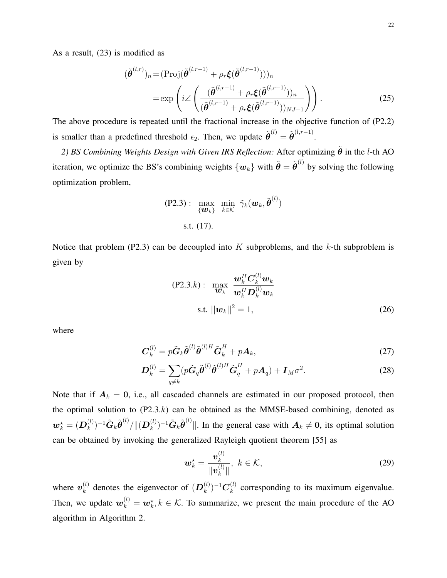As a result, [\(23\)](#page-20-2) is modified as

$$
(\tilde{\boldsymbol{\theta}}^{(l,r)})_n = (\text{Proj}(\tilde{\boldsymbol{\theta}}^{(l,r-1)} + \rho_r \boldsymbol{\xi}(\tilde{\boldsymbol{\theta}}^{(l,r-1)})))_n
$$
  
= 
$$
\exp\left(i \angle \left(\frac{(\tilde{\boldsymbol{\theta}}^{(l,r-1)} + \rho_r \boldsymbol{\xi}(\tilde{\boldsymbol{\theta}}^{(l,r-1)}))_n}{(\tilde{\boldsymbol{\theta}}^{(l,r-1)} + \rho_r \boldsymbol{\xi}(\tilde{\boldsymbol{\theta}}^{(l,r-1)}))_{NJ+1}}\right)\right).
$$
 (25)

The above procedure is repeated until the fractional increase in the objective function of (P2.2) is smaller than a predefined threshold  $\epsilon_2$ . Then, we update  $\tilde{\boldsymbol{\theta}}^{(l)} = \tilde{\boldsymbol{\theta}}^{(l,r-1)}$ .

2) BS Combining Weights Design with Given IRS Reflection: After optimizing  $\tilde{\theta}$  in the l-th AO iteration, we optimize the BS's combining weights  $\{w_k\}$  with  $\tilde{\bm{\theta}} = \tilde{\bm{\theta}}^{(l)}$  by solving the following optimization problem,

<span id="page-21-0"></span>
$$
\text{(P2.3)}: \max_{\{\boldsymbol{w}_k\}} \min_{k \in \mathcal{K}} \tilde{\gamma}_k(\boldsymbol{w}_k, \tilde{\boldsymbol{\theta}}^{(l)})
$$
\ns.t. (17).

Notice that problem (P2.3) can be decoupled into K subproblems, and the k-th subproblem is given by

$$
\text{(P2.3.}k): \quad \max_{\boldsymbol{w}_k} \quad \frac{\boldsymbol{w}_k^H \boldsymbol{C}_k^{(l)} \boldsymbol{w}_k}{\boldsymbol{w}_k^H \boldsymbol{D}_k^{(l)} \boldsymbol{w}_k}
$$
\n
$$
\text{s.t. } ||\boldsymbol{w}_k||^2 = 1,\tag{26}
$$

where

$$
\boldsymbol{C}_{k}^{(l)} = p\tilde{\boldsymbol{G}}_{k}\tilde{\boldsymbol{\theta}}^{(l)}\tilde{\boldsymbol{\theta}}^{(l)H}\tilde{\boldsymbol{G}}_{k}^{H} + p\boldsymbol{A}_{k},
$$
\n(27)

$$
\boldsymbol{D}_{k}^{(l)} = \sum_{q \neq k} (p \tilde{\boldsymbol{G}}_{q} \tilde{\boldsymbol{\theta}}^{(l)} \tilde{\boldsymbol{\theta}}^{(l)H} \tilde{\boldsymbol{G}}_{q}^{H} + p \boldsymbol{A}_{q}) + \boldsymbol{I}_{M} \sigma^{2}.
$$
 (28)

Note that if  $A_k = 0$ , i.e., all cascaded channels are estimated in our proposed protocol, then the optimal solution to  $(P2.3.k)$  can be obtained as the MMSE-based combining, denoted as  $\boldsymbol{w}_k^{\star} = (\boldsymbol{D}_k^{(l)}$  ${}^{(l)}_{k})^{-1}\tilde{\bm{G}}_{k}\tilde{\bm{\theta}}^{(l)} / \|(\bm{D}^{(l)}_{k})$  $(k)$ <sup>(l)</sup>)<sup>-1</sup> $\tilde{G}_k \tilde{\theta}^{(l)}$ ||. In the general case with  $A_k \neq 0$ , its optimal solution can be obtained by invoking the generalized Rayleigh quotient theorem [\[55\]](#page-34-8) as

<span id="page-21-2"></span><span id="page-21-1"></span>
$$
\boldsymbol{w}_{k}^{\star} = \frac{\boldsymbol{v}_{k}^{(l)}}{||\boldsymbol{v}_{k}^{(l)}||}, \ k \in \mathcal{K}, \tag{29}
$$

where  $v_k^{(l)}$  $\mathbf{z}_k^{(l)}$  denotes the eigenvector of  $(\mathbf{D}_k^{(l)})$  $\binom{(l)}{k}^{-1}\boldsymbol{C}^{(l)}_k$  $k<sup>(t)</sup>$  corresponding to its maximum eigenvalue. Then, we update  $w_k^{(l)} = w_k^*$ ,  $k \in \mathcal{K}$ . To summarize, we present the main procedure of the AO algorithm in Algorithm [2.](#page-22-1)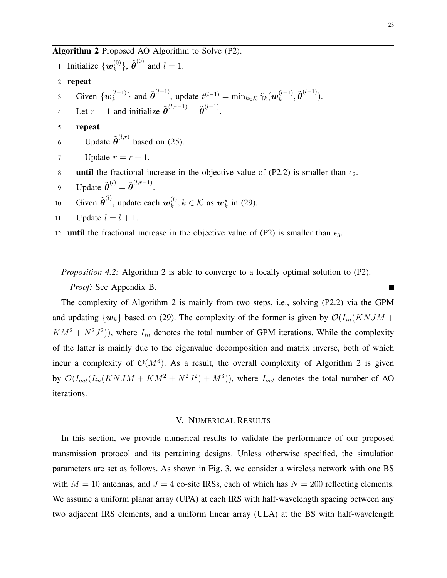<span id="page-22-1"></span>1: Initialize  $\{w_k^{(0)}\}$  $\{\hat{\theta}^{(0)}\}$ ,  $\tilde{\boldsymbol{\theta}}^{(0)}$  and  $l = 1$ . 2: repeat 3: Given  $\{w_k^{(l-1)}\}$  $\{k}^{(l-1)}\}$  and  $\tilde{\boldsymbol{\theta}}^{(l-1)}$ , update  $\tilde{t}^{(l-1)} = \min_{k \in \mathcal{K}} \tilde{\gamma}_k(\boldsymbol{w}_k^{(l-1)})$  $_{k}^{(l-1)},\tilde{\boldsymbol{\theta}}^{(l-1)}).$ 4: Let  $r = 1$  and initialize  $\tilde{\boldsymbol{\theta}}^{(l,r-1)} = \tilde{\boldsymbol{\theta}}^{(l-1)}$ . 5: repeat 6: Update  $\tilde{\boldsymbol{\theta}}^{(l,r)}$  based on [\(25\)](#page-21-0). 7: Update  $r = r + 1$ . 8: until the fractional increase in the objective value of (P2.2) is smaller than  $\epsilon_2$ . 9: Update  $\tilde{\boldsymbol{\theta}}^{(l)} = \tilde{\boldsymbol{\theta}}^{(l,r-1)}$ . 10: Given  $\tilde{\boldsymbol{\theta}}^{(l)}$ , update each  $\boldsymbol{w}_k^{(l)}$  $\mathbf{k}^{(l)}$ ,  $k \in \mathcal{K}$  as  $\mathbf{w}_{k}^{\star}$  in [\(29\)](#page-21-1). 11: Update  $l = l + 1$ . 12: **until** the fractional increase in the objective value of (P2) is smaller than  $\epsilon_3$ .

*Proposition* 4.[2](#page-22-1): Algorithm 2 is able to converge to a locally optimal solution to (P2).

*Proof:* See Appendix [B.](#page-31-6)

The complexity of Algorithm [2](#page-22-1) is mainly from two steps, i.e., solving (P2.2) via the GPM and updating  $\{w_k\}$  based on [\(29\)](#page-21-1). The complexity of the former is given by  $\mathcal{O}(I_{in}(KNJM +$  $KM^2 + N^2J^2$ ), where  $I_{in}$  denotes the total number of GPM iterations. While the complexity of the latter is mainly due to the eigenvalue decomposition and matrix inverse, both of which incur a complexity of  $\mathcal{O}(M^3)$ . As a result, the overall complexity of Algorithm [2](#page-22-1) is given by  $\mathcal{O}(I_{out}(I_{in}(KNJM + KM^2 + N^2J^2) + M^3))$ , where  $I_{out}$  denotes the total number of AO iterations.

#### V. NUMERICAL RESULTS

<span id="page-22-0"></span>In this section, we provide numerical results to validate the performance of our proposed transmission protocol and its pertaining designs. Unless otherwise specified, the simulation parameters are set as follows. As shown in Fig. [3,](#page-23-0) we consider a wireless network with one BS with  $M = 10$  antennas, and  $J = 4$  co-site IRSs, each of which has  $N = 200$  reflecting elements. We assume a uniform planar array (UPA) at each IRS with half-wavelength spacing between any two adjacent IRS elements, and a uniform linear array (ULA) at the BS with half-wavelength

Г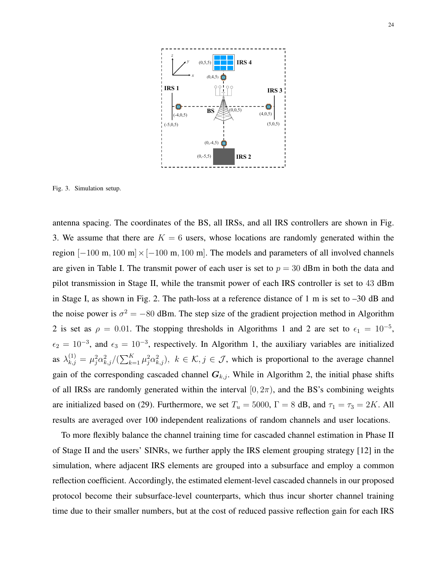

<span id="page-23-0"></span>Fig. 3. Simulation setup.

antenna spacing. The coordinates of the BS, all IRSs, and all IRS controllers are shown in Fig. [3.](#page-23-0) We assume that there are  $K = 6$  users, whose locations are randomly generated within the region  $[-100 \text{ m}, 100 \text{ m}] \times [-100 \text{ m}, 100 \text{ m}]$ . The models and parameters of all involved channels are given in Table [I.](#page-24-0) The transmit power of each user is set to  $p = 30$  dBm in both the data and pilot transmission in Stage II, while the transmit power of each IRS controller is set to 43 dBm in Stage I, as shown in Fig. [2.](#page-9-0) The path-loss at a reference distance of 1 m is set to –30 dB and the noise power is  $\sigma^2 = -80$  dBm. The step size of the gradient projection method in Algorithm [2](#page-22-1) is set as  $\rho = 0.01$  $\rho = 0.01$ . The stopping thresholds in Algorithms 1 and 2 are set to  $\epsilon_1 = 10^{-5}$ ,  $\epsilon_2 = 10^{-3}$ , and  $\epsilon_3 = 10^{-3}$ , respectively. In Algorithm [1,](#page-15-1) the auxiliary variables are initialized as  $\lambda_{k,j}^{(1)} = \mu_j^2 \alpha_{k,j}^2 / (\sum_{k=1}^K \mu_j^2 \alpha_{k,j}^2)$ ,  $k \in \mathcal{K}, j \in \mathcal{J}$ , which is proportional to the average channel gain of the corresponding cascaded channel  $G_{k,j}$ . While in Algorithm [2,](#page-22-1) the initial phase shifts of all IRSs are randomly generated within the interval  $[0, 2\pi)$ , and the BS's combining weights are initialized based on [\(29\)](#page-21-1). Furthermore, we set  $T_u = 5000$ ,  $\Gamma = 8$  dB, and  $\tau_1 = \tau_3 = 2K$ . All results are averaged over 100 independent realizations of random channels and user locations.

To more flexibly balance the channel training time for cascaded channel estimation in Phase II of Stage II and the users' SINRs, we further apply the IRS element grouping strategy [\[12\]](#page-32-5) in the simulation, where adjacent IRS elements are grouped into a subsurface and employ a common reflection coefficient. Accordingly, the estimated element-level cascaded channels in our proposed protocol become their subsurface-level counterparts, which thus incur shorter channel training time due to their smaller numbers, but at the cost of reduced passive reflection gain for each IRS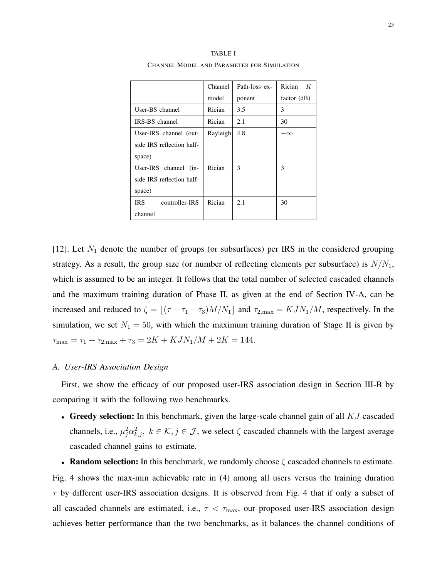<span id="page-24-0"></span>

|                           | Channel  | Path-loss ex- | Rician<br>K   |
|---------------------------|----------|---------------|---------------|
|                           | model    | ponent        | factor $(dB)$ |
| User-BS channel           | Rician   | 3.5           | 3             |
| IRS-BS channel            | Rician   | 2.1           | 30            |
| User-IRS channel (out-    | Rayleigh | 4.8           | $-\infty$     |
| side IRS reflection half- |          |               |               |
| space)                    |          |               |               |
| User-IRS channel (in-     | Rician   | 3             | 3             |
| side IRS reflection half- |          |               |               |
| space)                    |          |               |               |
| IRS.<br>controller-IRS    | Rician   | 2.1           | 30            |
| channel                   |          |               |               |

TABLE I CHANNEL MODEL AND PARAMETER FOR SIMULATION

[\[12\]](#page-32-5). Let  $N_1$  denote the number of groups (or subsurfaces) per IRS in the considered grouping strategy. As a result, the group size (or number of reflecting elements per subsurface) is  $N/N_1$ , which is assumed to be an integer. It follows that the total number of selected cascaded channels and the maximum training duration of Phase II, as given at the end of Section [IV-](#page-15-0)A, can be increased and reduced to  $\zeta = \lfloor (\tau - \tau_1 - \tau_3)M/N_1 \rfloor$  and  $\tau_{2,\text{max}} = KJN_1/M$ , respectively. In the simulation, we set  $N_1 = 50$ , with which the maximum training duration of Stage II is given by  $\tau_{\text{max}} = \tau_1 + \tau_{2,\text{max}} + \tau_3 = 2K + KJN_1/M + 2K = 144.$ 

#### *A. User-IRS Association Design*

First, we show the efficacy of our proposed user-IRS association design in Section [III-](#page-11-0)B by comparing it with the following two benchmarks.

• Greedy selection: In this benchmark, given the large-scale channel gain of all  $KJ$  cascaded channels, i.e.,  $\mu_j^2 \alpha_{k,j}^2$ ,  $k \in \mathcal{K}, j \in \mathcal{J}$ , we select  $\zeta$  cascaded channels with the largest average cascaded channel gains to estimate.

• Random selection: In this benchmark, we randomly choose  $\zeta$  cascaded channels to estimate. Fig. [4](#page-25-0) shows the max-min achievable rate in [\(4\)](#page-10-3) among all users versus the training duration  $\tau$  by different user-IRS association designs. It is observed from Fig. [4](#page-25-0) that if only a subset of all cascaded channels are estimated, i.e.,  $\tau < \tau_{\text{max}}$ , our proposed user-IRS association design achieves better performance than the two benchmarks, as it balances the channel conditions of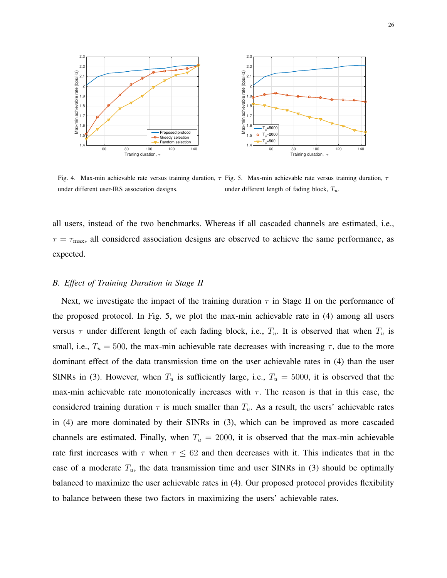

<span id="page-25-1"></span><span id="page-25-0"></span>Fig. 4. Max-min achievable rate versus training duration,  $\tau$  Fig. 5. Max-min achievable rate versus training duration,  $\tau$ under different user-IRS association designs. under different length of fading block,  $T_u$ .

all users, instead of the two benchmarks. Whereas if all cascaded channels are estimated, i.e.,  $\tau = \tau_{\text{max}}$ , all considered association designs are observed to achieve the same performance, as expected.

#### *B. Effect of Training Duration in Stage II*

Next, we investigate the impact of the training duration  $\tau$  in Stage II on the performance of the proposed protocol. In Fig. [5,](#page-25-1) we plot the max-min achievable rate in [\(4\)](#page-10-3) among all users versus  $\tau$  under different length of each fading block, i.e.,  $T_u$ . It is observed that when  $T_u$  is small, i.e.,  $T_u = 500$ , the max-min achievable rate decreases with increasing  $\tau$ , due to the more dominant effect of the data transmission time on the user achievable rates in [\(4\)](#page-10-3) than the user SINRs in [\(3\)](#page-10-2). However, when  $T_u$  is sufficiently large, i.e.,  $T_u = 5000$ , it is observed that the max-min achievable rate monotonically increases with  $\tau$ . The reason is that in this case, the considered training duration  $\tau$  is much smaller than  $T_u$ . As a result, the users' achievable rates in [\(4\)](#page-10-3) are more dominated by their SINRs in [\(3\)](#page-10-2), which can be improved as more cascaded channels are estimated. Finally, when  $T_u = 2000$ , it is observed that the max-min achievable rate first increases with  $\tau$  when  $\tau \leq 62$  and then decreases with it. This indicates that in the case of a moderate  $T_u$ , the data transmission time and user SINRs in [\(3\)](#page-10-2) should be optimally balanced to maximize the user achievable rates in [\(4\)](#page-10-3). Our proposed protocol provides flexibility to balance between these two factors in maximizing the users' achievable rates.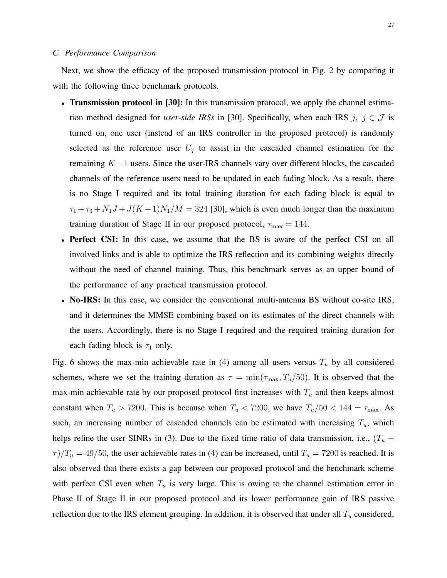#### *C. Performance Comparison*

Next, we show the efficacy of the proposed transmission protocol in Fig. [2](#page-9-0) by comparing it with the following three benchmark protocols.

- Transmission protocol in [\[30\]](#page-33-3): In this transmission protocol, we apply the channel estimation method designed for *user-side IRSs* in [\[30\]](#page-33-3). Specifically, when each IRS  $j, j \in \mathcal{J}$  is turned on, one user (instead of an IRS controller in the proposed protocol) is randomly selected as the reference user  $U_j$  to assist in the cascaded channel estimation for the remaining  $K - 1$  users. Since the user-IRS channels vary over different blocks, the cascaded channels of the reference users need to be updated in each fading block. As a result, there is no Stage I required and its total training duration for each fading block is equal to  $\tau_1 + \tau_3 + N_1J + J(K-1)N_1/M = 324$  [\[30\]](#page-33-3), which is even much longer than the maximum training duration of Stage II in our proposed protocol,  $\tau_{\text{max}} = 144$ .
- Perfect CSI: In this case, we assume that the BS is aware of the perfect CSI on all involved links and is able to optimize the IRS reflection and its combining weights directly without the need of channel training. Thus, this benchmark serves as an upper bound of the performance of any practical transmission protocol.
- No-IRS: In this case, we consider the conventional multi-antenna BS without co-site IRS, and it determines the MMSE combining based on its estimates of the direct channels with the users. Accordingly, there is no Stage I required and the required training duration for each fading block is  $\tau_1$  only.

Fig. [6](#page-27-0) shows the max-min achievable rate in [\(4\)](#page-10-3) among all users versus  $T_u$  by all considered schemes, where we set the training duration as  $\tau = \min(\tau_{\text{max}}, T_u/50)$ . It is observed that the max-min achievable rate by our proposed protocol first increases with  $T_u$  and then keeps almost constant when  $T_u > 7200$ . This is because when  $T_u < 7200$ , we have  $T_u/50 < 144 = \tau_{\text{max}}$ . As such, an increasing number of cascaded channels can be estimated with increasing  $T_u$ , which helps refine the user SINRs in [\(3\)](#page-10-2). Due to the fixed time ratio of data transmission, i.e.,  $(T_u \tau$ )/ $T_u$  = 49/50, the user achievable rates in [\(4\)](#page-10-3) can be increased, until  $T_u$  = 7200 is reached. It is also observed that there exists a gap between our proposed protocol and the benchmark scheme with perfect CSI even when  $T_u$  is very large. This is owing to the channel estimation error in Phase II of Stage II in our proposed protocol and its lower performance gain of IRS passive reflection due to the IRS element grouping. In addition, it is observed that under all  $T_u$  considered,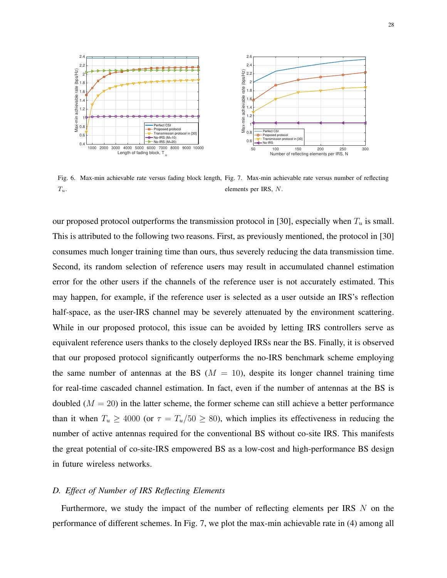

<span id="page-27-1"></span><span id="page-27-0"></span>Fig. 6. Max-min achievable rate versus fading block length, Fig. 7. Max-min achievable rate versus number of reflecting  $T_u$ . elements per IRS, N.

our proposed protocol outperforms the transmission protocol in [\[30\]](#page-33-3), especially when  $T_u$  is small. This is attributed to the following two reasons. First, as previously mentioned, the protocol in [\[30\]](#page-33-3) consumes much longer training time than ours, thus severely reducing the data transmission time. Second, its random selection of reference users may result in accumulated channel estimation error for the other users if the channels of the reference user is not accurately estimated. This may happen, for example, if the reference user is selected as a user outside an IRS's reflection half-space, as the user-IRS channel may be severely attenuated by the environment scattering. While in our proposed protocol, this issue can be avoided by letting IRS controllers serve as equivalent reference users thanks to the closely deployed IRSs near the BS. Finally, it is observed that our proposed protocol significantly outperforms the no-IRS benchmark scheme employing the same number of antennas at the BS ( $M = 10$ ), despite its longer channel training time for real-time cascaded channel estimation. In fact, even if the number of antennas at the BS is doubled  $(M = 20)$  in the latter scheme, the former scheme can still achieve a better performance than it when  $T_u \ge 4000$  (or  $\tau = T_u/50 \ge 80$ ), which implies its effectiveness in reducing the number of active antennas required for the conventional BS without co-site IRS. This manifests the great potential of co-site-IRS empowered BS as a low-cost and high-performance BS design in future wireless networks.

# *D. Effect of Number of IRS Reflecting Elements*

Furthermore, we study the impact of the number of reflecting elements per IRS N on the performance of different schemes. In Fig. [7,](#page-27-1) we plot the max-min achievable rate in [\(4\)](#page-10-3) among all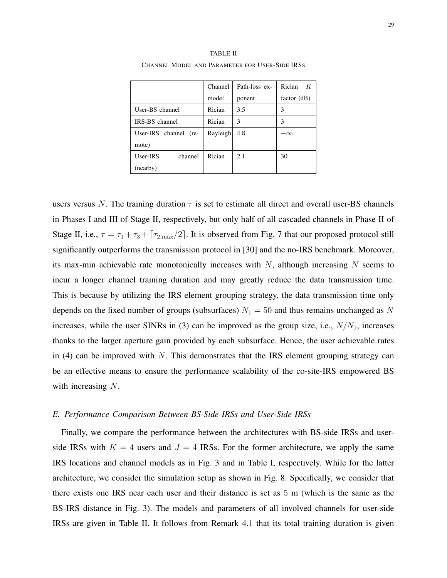<span id="page-28-0"></span>

|                       | Channel  | Path-loss ex- | Rician<br>K   |
|-----------------------|----------|---------------|---------------|
|                       | model    | ponent        | factor $(dB)$ |
| User-BS channel       | Rician   | 3.5           | 3             |
| IRS-BS channel        | Rician   | 3             | 3             |
| User-IRS channel (re- | Rayleigh | 4.8           | $-\infty$     |
| mote)                 |          |               |               |
| User-IRS<br>channel   | Rician   | 2.1           | 30            |
| (nearby)              |          |               |               |

TABLE II CHANNEL MODEL AND PARAMETER FOR USER-SIDE IRSS

users versus N. The training duration  $\tau$  is set to estimate all direct and overall user-BS channels in Phases I and III of Stage II, respectively, but only half of all cascaded channels in Phase II of Stage II, i.e.,  $\tau = \tau_1 + \tau_3 + \tau_{2,\text{max}}/2$ . It is observed from Fig. [7](#page-27-1) that our proposed protocol still significantly outperforms the transmission protocol in [\[30\]](#page-33-3) and the no-IRS benchmark. Moreover, its max-min achievable rate monotonically increases with  $N$ , although increasing  $N$  seems to incur a longer channel training duration and may greatly reduce the data transmission time. This is because by utilizing the IRS element grouping strategy, the data transmission time only depends on the fixed number of groups (subsurfaces)  $N_1 = 50$  and thus remains unchanged as N increases, while the user SINRs in [\(3\)](#page-10-2) can be improved as the group size, i.e.,  $N/N_1$ , increases thanks to the larger aperture gain provided by each subsurface. Hence, the user achievable rates in [\(4\)](#page-10-3) can be improved with  $N$ . This demonstrates that the IRS element grouping strategy can be an effective means to ensure the performance scalability of the co-site-IRS empowered BS with increasing N.

#### *E. Performance Comparison Between BS-Side IRSs and User-Side IRSs*

Finally, we compare the performance between the architectures with BS-side IRSs and userside IRSs with  $K = 4$  users and  $J = 4$  IRSs. For the former architecture, we apply the same IRS locations and channel models as in Fig. [3](#page-23-0) and in Table [I,](#page-24-0) respectively. While for the latter architecture, we consider the simulation setup as shown in Fig. [8.](#page-29-0) Specifically, we consider that there exists one IRS near each user and their distance is set as 5 m (which is the same as the BS-IRS distance in Fig. [3\)](#page-23-0). The models and parameters of all involved channels for user-side IRSs are given in Table [II.](#page-28-0) It follows from Remark [4.1](#page-16-0) that its total training duration is given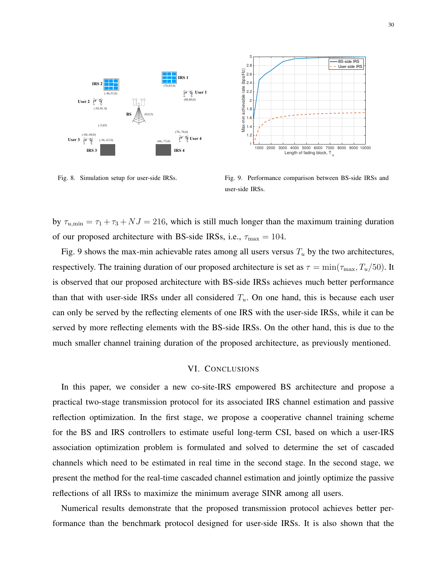

<span id="page-29-0"></span>Fig. 8. Simulation setup for user-side IRSs.

<span id="page-29-1"></span>Fig. 9. Performance comparison between BS-side IRSs and user-side IRSs.

by  $\tau_{u,\text{min}} = \tau_1 + \tau_3 + NJ = 216$ , which is still much longer than the maximum training duration of our proposed architecture with BS-side IRSs, i.e.,  $\tau_{\text{max}} = 104$ .

Fig. [9](#page-29-1) shows the max-min achievable rates among all users versus  $T_u$  by the two architectures, respectively. The training duration of our proposed architecture is set as  $\tau = \min(\tau_{\max}, T_u/50)$ . It is observed that our proposed architecture with BS-side IRSs achieves much better performance than that with user-side IRSs under all considered  $T_u$ . On one hand, this is because each user can only be served by the reflecting elements of one IRS with the user-side IRSs, while it can be served by more reflecting elements with the BS-side IRSs. On the other hand, this is due to the much smaller channel training duration of the proposed architecture, as previously mentioned.

#### VI. CONCLUSIONS

In this paper, we consider a new co-site-IRS empowered BS architecture and propose a practical two-stage transmission protocol for its associated IRS channel estimation and passive reflection optimization. In the first stage, we propose a cooperative channel training scheme for the BS and IRS controllers to estimate useful long-term CSI, based on which a user-IRS association optimization problem is formulated and solved to determine the set of cascaded channels which need to be estimated in real time in the second stage. In the second stage, we present the method for the real-time cascaded channel estimation and jointly optimize the passive reflections of all IRSs to maximize the minimum average SINR among all users.

Numerical results demonstrate that the proposed transmission protocol achieves better performance than the benchmark protocol designed for user-side IRSs. It is also shown that the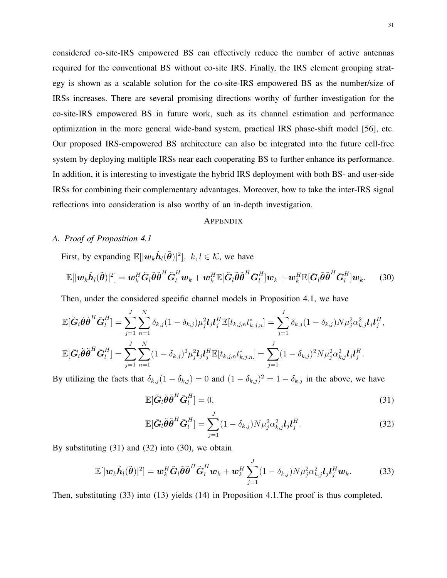considered co-site-IRS empowered BS can effectively reduce the number of active antennas required for the conventional BS without co-site IRS. Finally, the IRS element grouping strategy is shown as a scalable solution for the co-site-IRS empowered BS as the number/size of IRSs increases. There are several promising directions worthy of further investigation for the co-site-IRS empowered BS in future work, such as its channel estimation and performance optimization in the more general wide-band system, practical IRS phase-shift model [\[56\]](#page-34-9), etc. Our proposed IRS-empowered BS architecture can also be integrated into the future cell-free system by deploying multiple IRSs near each cooperating BS to further enhance its performance. In addition, it is interesting to investigate the hybrid IRS deployment with both BS- and user-side IRSs for combining their complementary advantages. Moreover, how to take the inter-IRS signal reflections into consideration is also worthy of an in-depth investigation.

# <span id="page-30-3"></span>**APPENDIX**

# <span id="page-30-0"></span>*A. Proof of Proposition [4.1](#page-17-2)*

First, by expanding  $\mathbb{E}[|\boldsymbol{w}_k \hat{\boldsymbol{h}}_l(\tilde{\boldsymbol{\theta}})|^2], k, l \in \mathcal{K}$ , we have

$$
\mathbb{E}[|\boldsymbol{w}_k\hat{\boldsymbol{h}}_l(\tilde{\boldsymbol{\theta}})|^2] = \boldsymbol{w}_k^H \tilde{\boldsymbol{G}}_l \tilde{\boldsymbol{\theta}} \tilde{\boldsymbol{\theta}}^H \tilde{\boldsymbol{G}}_l^H \boldsymbol{w}_k + \boldsymbol{w}_k^H \mathbb{E}[\tilde{\boldsymbol{G}}_l \tilde{\boldsymbol{\theta}} \tilde{\boldsymbol{\theta}}^H \bar{\boldsymbol{G}}_l^H] \boldsymbol{w}_k + \boldsymbol{w}_k^H \mathbb{E}[\bar{\boldsymbol{G}}_l \tilde{\boldsymbol{\theta}} \tilde{\boldsymbol{\theta}}^H \bar{\boldsymbol{G}}_l^H] \boldsymbol{w}_k. \qquad (30)
$$

Then, under the considered specific channel models in Proposition [4.1,](#page-17-2) we have

$$
\mathbb{E}[\tilde{\mathbf{G}}_l\tilde{\boldsymbol{\theta}}\tilde{\boldsymbol{\theta}}^H\bar{\mathbf{G}}_l^H] = \sum_{j=1}^J \sum_{n=1}^N \delta_{k,j} (1-\delta_{k,j}) \mu_j^2 \mathbf{I}_j \mathbf{I}_j^H \mathbb{E}[t_{k,j,n} t_{k,j,n}^*] = \sum_{j=1}^J \delta_{k,j} (1-\delta_{k,j}) N \mu_j^2 \alpha_{k,j}^2 \mathbf{I}_j \mathbf{I}_j^H,
$$
  

$$
\mathbb{E}[\bar{\mathbf{G}}_l\tilde{\boldsymbol{\theta}}\tilde{\boldsymbol{\theta}}^H\bar{\mathbf{G}}_l^H] = \sum_{j=1}^J \sum_{n=1}^N (1-\delta_{k,j})^2 \mu_j^2 \mathbf{I}_j \mathbf{I}_j^H \mathbb{E}[t_{k,j,n} t_{k,j,n}^*] = \sum_{j=1}^J (1-\delta_{k,j})^2 N \mu_j^2 \alpha_{k,j}^2 \mathbf{I}_j \mathbf{I}_j^H.
$$

By utilizing the facts that  $\delta_{k,j}(1-\delta_{k,j})=0$  and  $(1-\delta_{k,j})^2=1-\delta_{k,j}$  in the above, we have

<span id="page-30-1"></span>
$$
\mathbb{E}[\tilde{\boldsymbol{G}}_l\tilde{\boldsymbol{\theta}}\tilde{\boldsymbol{\theta}}^H\bar{\boldsymbol{G}}_l^H]=0,
$$
\n(31)

<span id="page-30-4"></span><span id="page-30-2"></span>
$$
\mathbb{E}[\bar{\mathbf{G}}_l\tilde{\boldsymbol{\theta}}\tilde{\boldsymbol{\theta}}^H\bar{\mathbf{G}}_l^H] = \sum_{j=1}^J (1 - \delta_{k,j}) N \mu_j^2 \alpha_{k,j}^2 \mathbf{I}_j \mathbf{I}_j^H.
$$
\n(32)

By substituting [\(31\)](#page-30-1) and [\(32\)](#page-30-2) into [\(30\)](#page-30-3), we obtain

$$
\mathbb{E}[|\boldsymbol{w}_k \hat{\boldsymbol{h}}_l(\tilde{\boldsymbol{\theta}})|^2] = \boldsymbol{w}_k^H \tilde{\boldsymbol{G}}_l \tilde{\boldsymbol{\theta}} \tilde{\boldsymbol{\theta}}^H \tilde{\boldsymbol{G}}_l^H \boldsymbol{w}_k + \boldsymbol{w}_k^H \sum_{j=1}^J (1 - \delta_{k,j}) N \mu_j^2 \alpha_{k,j}^2 \boldsymbol{l}_j \boldsymbol{l}_j^H \boldsymbol{w}_k. \tag{33}
$$

Then, substituting [\(33\)](#page-30-4) into [\(13\)](#page-17-1) yields [\(14\)](#page-18-0) in Proposition [4.1.](#page-17-2)The proof is thus completed.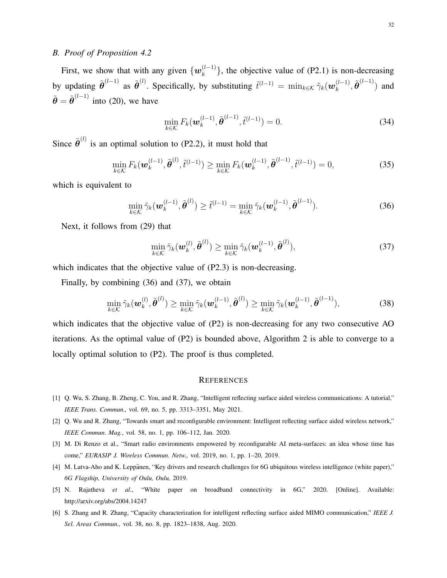# <span id="page-31-6"></span>*B. Proof of Proposition [4.2](#page-21-2)*

First, we show that with any given  $\{w_k^{(l-1)}\}$  ${k \choose k}$ , the objective value of (P2.1) is non-decreasing by updating  $\tilde{\theta}^{(l-1)}$  as  $\tilde{\theta}^{(l)}$ . Specifically, by substituting  $\tilde{t}^{(l-1)} = \min_{k \in \mathcal{K}} \tilde{\gamma}_k(\boldsymbol{w}_k^{(l-1)}$  $_{k}^{(l-1)}, \tilde{\boldsymbol{\theta}}^{(l-1)})$  and  $\tilde{\boldsymbol{\theta}} = \tilde{\boldsymbol{\theta}}^{(l-1)}$  into [\(20\)](#page-19-2), we have

<span id="page-31-7"></span>
$$
\min_{k \in \mathcal{K}} F_k(\boldsymbol{w}_k^{(l-1)}, \tilde{\boldsymbol{\theta}}^{(l-1)}, \tilde{t}^{(l-1)}) = 0.
$$
\n(34)

Since  $\tilde{\theta}^{(l)}$  is an optimal solution to (P2.2), it must hold that

$$
\min_{k \in \mathcal{K}} F_k(\boldsymbol{w}_k^{(l-1)}, \tilde{\boldsymbol{\theta}}^{(l)}, \tilde{t}^{(l-1)}) \ge \min_{k \in \mathcal{K}} F_k(\boldsymbol{w}_k^{(l-1)}, \tilde{\boldsymbol{\theta}}^{(l-1)}, \tilde{t}^{(l-1)}) = 0,
$$
\n(35)

which is equivalent to

$$
\min_{k \in \mathcal{K}} \tilde{\gamma}_k(\boldsymbol{w}_k^{(l-1)}, \tilde{\boldsymbol{\theta}}^{(l)}) \ge \tilde{t}^{(l-1)} = \min_{k \in \mathcal{K}} \tilde{\gamma}_k(\boldsymbol{w}_k^{(l-1)}, \tilde{\boldsymbol{\theta}}^{(l-1)}).
$$
\n(36)

Next, it follows from [\(29\)](#page-21-1) that

<span id="page-31-8"></span>
$$
\min_{k \in \mathcal{K}} \tilde{\gamma}_k(\boldsymbol{w}_k^{(l)}, \tilde{\boldsymbol{\theta}}^{(l)}) \ge \min_{k \in \mathcal{K}} \tilde{\gamma}_k(\boldsymbol{w}_k^{(l-1)}, \tilde{\boldsymbol{\theta}}^{(l)}),
$$
\n(37)

which indicates that the objective value of  $(P2.3)$  is non-decreasing.

Finally, by combining [\(36\)](#page-31-7) and [\(37\)](#page-31-8), we obtain

$$
\min_{k \in \mathcal{K}} \tilde{\gamma}_k(\boldsymbol{w}_k^{(l)}, \tilde{\boldsymbol{\theta}}^{(l)}) \ge \min_{k \in \mathcal{K}} \tilde{\gamma}_k(\boldsymbol{w}_k^{(l-1)}, \tilde{\boldsymbol{\theta}}^{(l)}) \ge \min_{k \in \mathcal{K}} \tilde{\gamma}_k(\boldsymbol{w}_k^{(l-1)}, \tilde{\boldsymbol{\theta}}^{(l-1)}),
$$
\n(38)

which indicates that the objective value of  $(P2)$  is non-decreasing for any two consecutive AO iterations. As the optimal value of  $(P2)$  $(P2)$  $(P2)$  is bounded above, Algorithm 2 is able to converge to a locally optimal solution to (P2). The proof is thus completed.

#### **REFERENCES**

- <span id="page-31-0"></span>[1] Q. Wu, S. Zhang, B. Zheng, C. You, and R. Zhang, "Intelligent reflecting surface aided wireless communications: A tutorial," *IEEE Trans. Commun.,* vol. 69, no. 5, pp. 3313–3351, May 2021.
- <span id="page-31-5"></span>[2] Q. Wu and R. Zhang, "Towards smart and reconfigurable environment: Intelligent reflecting surface aided wireless network," *IEEE Commun. Mag.*, vol. 58, no. 1, pp. 106–112, Jan. 2020.
- <span id="page-31-1"></span>[3] M. Di Renzo et al., "Smart radio environments empowered by reconfigurable AI meta-surfaces: an idea whose time has come," *EURASIP J. Wireless Commun. Netw.,* vol. 2019, no. 1, pp. 1–20, 2019.
- <span id="page-31-2"></span>[4] M. Latva-Aho and K. Leppänen, "Key drivers and research challenges for 6G ubiquitous wireless intelligence (white paper)," *6G Flagship, University of Oulu, Oulu,* 2019.
- <span id="page-31-3"></span>[5] N. Rajatheva et al., "White paper on broadband connectivity in 6G," 2020. [Online]. Available: http://arxiv.org/abs/2004.14247
- <span id="page-31-4"></span>[6] S. Zhang and R. Zhang, "Capacity characterization for intelligent reflecting surface aided MIMO communication," *IEEE J. Sel. Areas Commun.,* vol. 38, no. 8, pp. 1823–1838, Aug. 2020.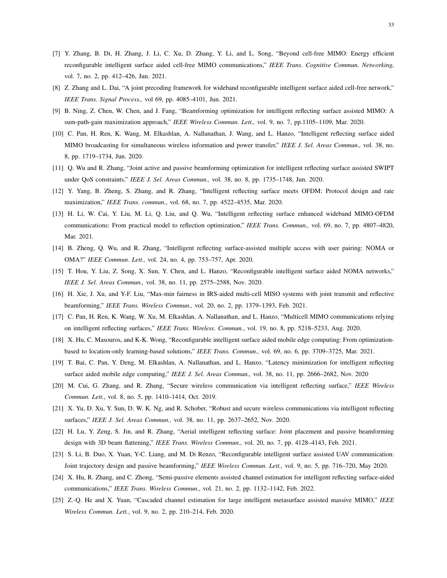- <span id="page-32-1"></span>[7] Y. Zhang, B. Di, H. Zhang, J. Li, C. Xu, D. Zhang, Y. Li, and L. Song, "Beyond cell-free MIMO: Energy efficient reconfigurable intelligent surface aided cell-free MIMO communications," *IEEE Trans. Cognitive Commun. Networking,* vol. 7, no. 2, pp. 412–426, Jun. 2021.
- <span id="page-32-2"></span>[8] Z. Zhang and L. Dai, "A joint precoding framework for wideband reconfigurable intelligent surface aided cell-free network," *IEEE Trans. Signal Process.,* vol 69, pp. 4085–4101, Jun. 2021.
- <span id="page-32-0"></span>[9] B. Ning, Z. Chen, W. Chen, and J. Fang, "Beamforming optimization for intelligent reflecting surface assisted MIMO: A sum-path-gain maximization approach," *IEEE Wireless Commun. Lett.,* vol. 9, no. 7, pp.1105–1109, Mar. 2020.
- <span id="page-32-3"></span>[10] C. Pan, H. Ren, K. Wang, M. Elkashlan, A. Nallanathan, J. Wang, and L. Hanzo, "Intelligent reflecting surface aided MIMO broadcasting for simultaneous wireless information and power transfer," *IEEE J. Sel. Areas Commun.,* vol. 38, no. 8, pp. 1719–1734, Jun. 2020.
- <span id="page-32-4"></span>[11] Q. Wu and R. Zhang, "Joint active and passive beamforming optimization for intelligent reflecting surface assisted SWIPT under QoS constraints," *IEEE J. Sel. Areas Commun.,* vol. 38, no. 8, pp. 1735–1748, Jun. 2020.
- <span id="page-32-5"></span>[12] Y. Yang, B. Zheng, S. Zhang, and R. Zhang, "Intelligent reflecting surface meets OFDM: Protocol design and rate maximization," *IEEE Trans. commun.*, vol. 68, no. 7, pp. 4522–4535, Mar. 2020.
- <span id="page-32-6"></span>[13] H. Li, W. Cai, Y. Liu, M. Li, Q. Liu, and Q. Wu, "Intelligent reflecting surface enhanced wideband MIMO-OFDM communications: From practical model to reflection optimization," *IEEE Trans. Commun.,* vol. 69, no. 7, pp. 4807–4820, Mar. 2021.
- <span id="page-32-7"></span>[14] B. Zheng, Q. Wu, and R. Zhang, "Intelligent reflecting surface-assisted multiple access with user pairing: NOMA or OMA?" *IEEE Commun. Lett.,* vol. 24, no. 4, pp. 753–757, Apr. 2020.
- <span id="page-32-8"></span>[15] T. Hou, Y. Liu, Z. Song, X. Sun, Y. Chen, and L. Hanzo, "Reconfigurable intelligent surface aided NOMA networks," *IEEE J. Sel. Areas Commun.,* vol. 38, no. 11, pp. 2575–2588, Nov. 2020.
- <span id="page-32-9"></span>[16] H. Xie, J. Xu, and Y-F. Liu, "Max-min fairness in IRS-aided multi-cell MISO systems with joint transmit and reflective beamforming," *IEEE Trans. Wireless Commun.,* vol. 20, no. 2, pp. 1379–1393, Feb. 2021.
- <span id="page-32-10"></span>[17] C. Pan, H. Ren, K. Wang, W. Xu, M. Elkashlan, A. Nallanathan, and L. Hanzo, "Multicell MIMO communications relying on intelligent reflecting surfaces," *IEEE Trans. Wireless. Commun.*, vol. 19, no. 8, pp. 5218–5233, Aug. 2020.
- <span id="page-32-11"></span>[18] X. Hu, C. Masouros, and K-K. Wong, "Reconfigurable intelligent surface aided mobile edge computing: From optimizationbased to location-only learning-based solutions," *IEEE Trans. Commun.,* vol. 69, no. 6, pp. 3709–3725, Mar. 2021.
- <span id="page-32-12"></span>[19] T. Bai, C. Pan, Y. Deng, M. Elkashlan, A. Nallanathan, and L. Hanzo, "Latency minimization for intelligent reflecting surface aided mobile edge computing," *IEEE J. Sel. Areas Commun.,* vol. 38, no. 11, pp. 2666–2682, Nov. 2020
- <span id="page-32-13"></span>[20] M. Cui, G. Zhang, and R. Zhang, "Secure wireless communication via intelligent reflecting surface," *IEEE Wireless Commun. Lett.*, vol. 8, no. 5, pp. 1410–1414, Oct. 2019.
- <span id="page-32-14"></span>[21] X. Yu, D. Xu, Y. Sun, D. W. K. Ng, and R. Schober, "Robust and secure wireless communications via intelligent reflecting surfaces," *IEEE J. Sel. Areas Commun.,* vol. 38, no. 11, pp. 2637–2652, Nov. 2020.
- <span id="page-32-15"></span>[22] H. Lu, Y. Zeng, S. Jin, and R. Zhang, "Aerial intelligent reflecting surface: Joint placement and passive beamforming design with 3D beam flattening," *IEEE Trans. Wireless Commun.,* vol. 20, no. 7, pp. 4128–4143, Feb. 2021.
- <span id="page-32-16"></span>[23] S. Li, B. Duo, X. Yuan, Y-C. Liang, and M. Di Renzo, "Reconfigurable intelligent surface assisted UAV communication: Joint trajectory design and passive beamforming," *IEEE Wireless Commun. Lett.,* vol. 9, no. 5, pp. 716–720, May 2020.
- <span id="page-32-17"></span>[24] X. Hu, R. Zhang, and C. Zhong, "Semi-passive elements assisted channel estimation for intelligent reflecting surface-aided communications," *IEEE Trans. Wireless Commun.,* vol. 21, no. 2, pp. 1132–1142, Feb. 2022.
- <span id="page-32-18"></span>[25] Z.-Q. He and X. Yuan, "Cascaded channel estimation for large intelligent metasurface assisted massive MIMO," *IEEE Wireless Commun. Lett.*, vol. 9, no. 2, pp. 210–214, Feb. 2020.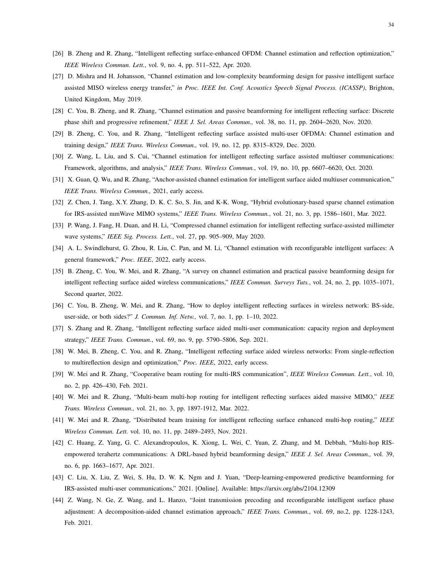- <span id="page-33-13"></span>[26] B. Zheng and R. Zhang, "Intelligent reflecting surface-enhanced OFDM: Channel estimation and reflection optimization," *IEEE Wireless Commun. Lett.*, vol. 9, no. 4, pp. 511–522, Apr. 2020.
- <span id="page-33-0"></span>[27] D. Mishra and H. Johansson, "Channel estimation and low-complexity beamforming design for passive intelligent surface assisted MISO wireless energy transfer," *in Proc. IEEE Int. Conf. Acoustics Speech Signal Process. (ICASSP)*, Brighton, United Kingdom, May 2019.
- <span id="page-33-1"></span>[28] C. You, B. Zheng, and R. Zhang, "Channel estimation and passive beamforming for intelligent reflecting surface: Discrete phase shift and progressive refinement," *IEEE J. Sel. Areas Commun.,* vol. 38, no. 11, pp. 2604–2620, Nov. 2020.
- <span id="page-33-2"></span>[29] B. Zheng, C. You, and R. Zhang, "Intelligent reflecting surface assisted multi-user OFDMA: Channel estimation and training design," *IEEE Trans. Wireless Commun.,* vol. 19, no. 12, pp. 8315–8329, Dec. 2020.
- <span id="page-33-3"></span>[30] Z. Wang, L. Liu, and S. Cui, "Channel estimation for intelligent reflecting surface assisted multiuser communications: Framework, algorithms, and analysis," *IEEE Trans. Wireless Commun.*, vol. 19, no. 10, pp. 6607–6620, Oct. 2020.
- <span id="page-33-4"></span>[31] X. Guan, Q. Wu, and R. Zhang, "Anchor-assisted channel estimation for intelligent surface aided multiuser communication," *IEEE Trans. Wireless Commun.,* 2021, early access.
- <span id="page-33-5"></span>[32] Z. Chen, J. Tang, X.Y. Zhang, D. K. C. So, S. Jin, and K-K. Wong, "Hybrid evolutionary-based sparse channel estimation for IRS-assisted mmWave MIMO systems," *IEEE Trans. Wireless Commun.*, vol. 21, no. 3, pp. 1586–1601, Mar. 2022.
- <span id="page-33-6"></span>[33] P. Wang, J. Fang, H. Duan, and H. Li, "Compressed channel estimation for intelligent reflecting surface-assisted millimeter wave systems," *IEEE Sig. Process. Lett.*, vol. 27, pp. 905–909, May 2020.
- <span id="page-33-7"></span>[34] A. L. Swindlehurst, G. Zhou, R. Liu, C. Pan, and M. Li, "Channel estimation with reconfigurable intelligent surfaces: A general framework," *Proc. IEEE*, 2022, early access.
- <span id="page-33-8"></span>[35] B. Zheng, C. You, W. Mei, and R. Zhang, "A survey on channel estimation and practical passive beamforming design for intelligent reflecting surface aided wireless communications," *IEEE Commun. Surveys Tuts.*, vol. 24, no. 2, pp. 1035–1071, Second quarter, 2022.
- <span id="page-33-9"></span>[36] C. You, B. Zheng, W. Mei, and R. Zhang, "How to deploy intelligent reflecting surfaces in wireless network: BS-side, user-side, or both sides?" *J. Commun. Inf. Netw.,* vol. 7, no. 1, pp. 1–10, 2022.
- <span id="page-33-10"></span>[37] S. Zhang and R. Zhang, "Intelligent reflecting surface aided multi-user communication: capacity region and deployment strategy," *IEEE Trans. Commun.*, vol. 69, no. 9, pp. 5790–5806, Sep. 2021.
- <span id="page-33-11"></span>[38] W. Mei, B. Zheng, C. You, and R. Zhang, "Intelligent reflecting surface aided wireless networks: From single-reflection to multireflection design and optimization," *Proc. IEEE*, 2022, early access.
- [39] W. Mei and R. Zhang, "Cooperative beam routing for multi-IRS communication", *IEEE Wireless Commun. Lett.*, vol. 10, no. 2, pp. 426–430, Feb. 2021.
- [40] W. Mei and R. Zhang, "Multi-beam multi-hop routing for intelligent reflecting surfaces aided massive MIMO," *IEEE Trans. Wireless Commun.,* vol. 21, no. 3, pp. 1897-1912, Mar. 2022.
- [41] W. Mei and R. Zhang, "Distributed beam training for intelligent reflecting surface enhanced multi-hop routing," *IEEE Wireless Commun. Lett.* vol. 10, no. 11, pp. 2489–2493, Nov. 2021.
- <span id="page-33-12"></span>[42] C. Huang, Z. Yang, G. C. Alexandropoulos, K. Xiong, L. Wei, C. Yuan, Z. Zhang, and M. Debbah, "Multi-hop RISempowered terahertz communications: A DRL-based hybrid beamforming design," *IEEE J. Sel. Areas Commun.,* vol. 39, no. 6, pp. 1663–1677, Apr. 2021.
- <span id="page-33-14"></span>[43] C. Liu, X. Liu, Z. Wei, S. Hu, D. W. K. Ngm and J. Yuan, "Deep-learning-empowered predictive beamforming for IRS-assisted multi-user communications," 2021. [Online]. Available: https://arxiv.org/abs/2104.12309
- <span id="page-33-15"></span>[44] Z. Wang, N. Ge, Z. Wang, and L. Hanzo, "Joint transmission precoding and reconfigurable intelligent surface phase adjustment: A decomposition-aided channel estimation approach," *IEEE Trans. Commun.*, vol. 69, no.2, pp. 1228-1243, Feb. 2021.